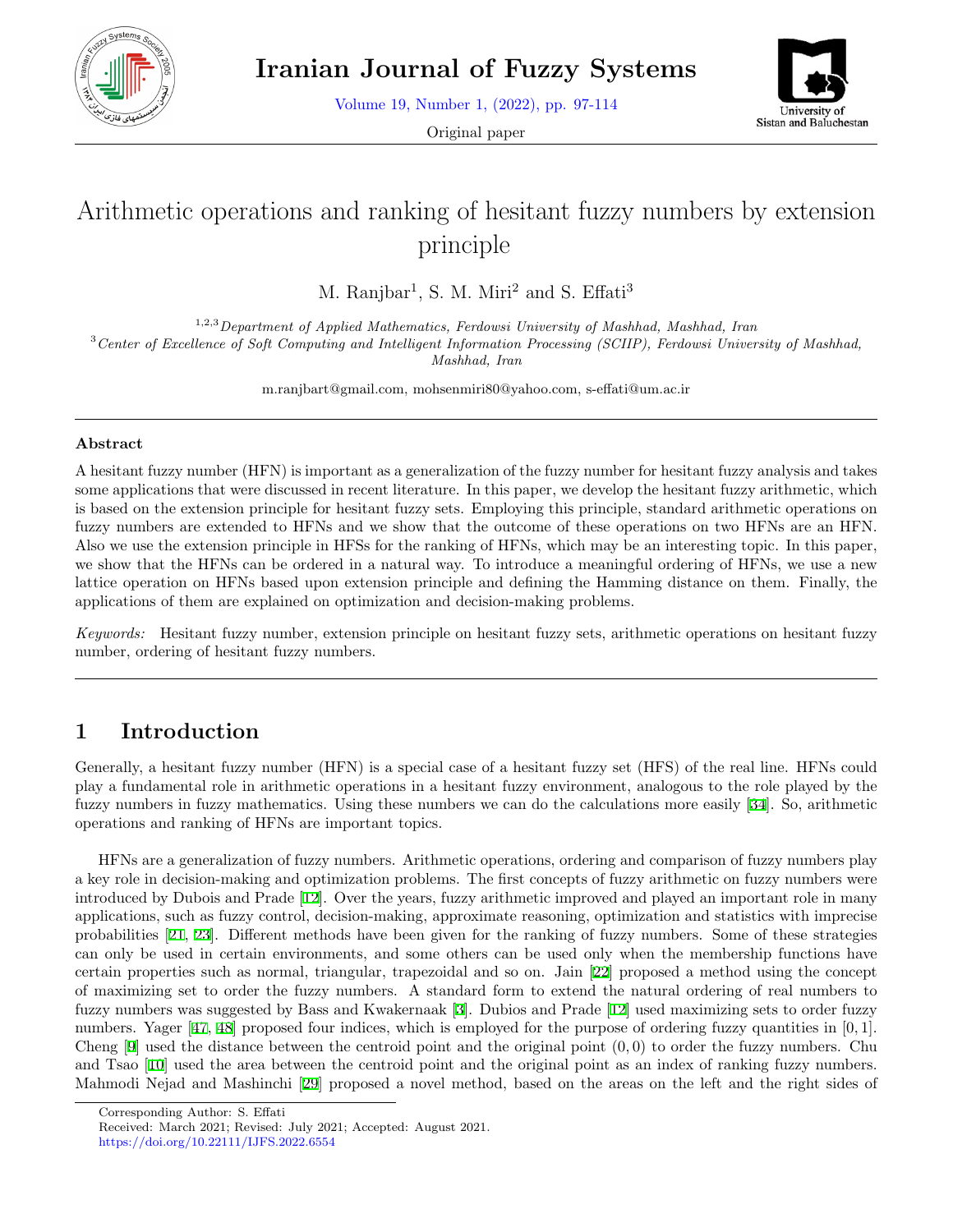

Volume 19, Number 1, (2022), pp. 97-114

Original paper



# Arithmetic operations and ranking of hesitant fuzzy numbers by extension principle

M. Ranjbar<sup>1</sup>, S. M. Miri<sup>2</sup> and S. Effati<sup>3</sup>

1,2,3*Department of Applied Mathematics, Ferdowsi University of Mashhad, Mashhad, Iran* <sup>3</sup>*Center of Excellence of Soft Computing and Intelligent Information Processing (SCIIP), Ferdowsi University of Mashhad,*

*Mashhad, Iran*

m.ranjbart@gmail.com, mohsenmiri80@yahoo.com, s-effati@um.ac.ir

#### **Abstract**

A hesitant fuzzy number (HFN) is important as a generalization of the fuzzy number for hesitant fuzzy analysis and takes some applications that were discussed in recent literature. In this paper, we develop the hesitant fuzzy arithmetic, which is based on the extension principle for hesitant fuzzy sets. Employing this principle, standard arithmetic operations on fuzzy numbers are extended to HFNs and we show that the outcome of these operations on two HFNs are an HFN. Also we use the extension principle in HFSs for the ranking of HFNs, which may be an interesting topic. In this paper, we show that the HFNs can be ordered in a natural way. To introduce a meaningful ordering of HFNs, we use a new lattice operation on HFNs based upon extension principle and defining the Hamming distance on them. Finally, the applications of them are explained on optimization and decision-making problems.

*Keywords:* Hesitant fuzzy number, extension principle on hesitant fuzzy sets, arithmetic operations on hesitant fuzzy number, ordering of hesitant fuzzy numbers.

# **1 Introduction**

Generally, a hesitant fuzzy number (HFN) is a special case of a hesitant fuzzy set (HFS) of the real line. HFNs could play a fundamental role in arithmetic operations in a hesitant fuzzy environment, analogous to the role played by the fuzzy numbers in fuzzy mathematics. Using these numbers we can do the calculations more easily [[34](#page-16-0)]. So, arithmetic operations and ranking of HFNs are important topics.

HFNs are a generalization of fuzzy numbers. Arithmetic operations, ordering and comparison of fuzzy numbers play a key role in decision-making and optimization problems. The first concepts of fuzzy arithmetic on fuzzy numbers were introduced by Dubois and Prade [[12\]](#page-15-0). Over the years, fuzzy arithmetic improved and played an important role in many applications, such as fuzzy control, decision-making, approximate reasoning, optimization and statistics with imprecise probabilities [[21,](#page-16-1) [23](#page-16-2)]. Different methods have been given for the ranking of fuzzy numbers. Some of these strategies can only be used in certain environments, and some others can be used only when the membership functions have certain properties such as normal, triangular, trapezoidal and so on. Jain [[22](#page-16-3)] proposed a method using the concept of maximizing set to order the fuzzy numbers. A standard form to extend the natural ordering of real numbers to fuzzy numbers was suggested by Bass and Kwakernaak [\[3](#page-15-1)]. Dubios and Prade [\[12](#page-15-0)] used maximizing sets to order fuzzy numbers. Yager [\[47](#page-17-0), [48](#page-17-1)] proposed four indices, which is employed for the purpose of ordering fuzzy quantities in [0*,* 1]. Cheng [\[9](#page-15-2)] used the distance between the centroid point and the original point (0*,* 0) to order the fuzzy numbers. Chu and Tsao [\[10](#page-15-3)] used the area between the centroid point and the original point as an index of ranking fuzzy numbers. Mahmodi Nejad and Mashinchi [[29\]](#page-16-4) proposed a novel method, based on the areas on the left and the right sides of

Corresponding Author: S. Effati

Received: March 2021; Revised: July 2021; Accepted: August 2021.

https://doi.org/10.22111/IJFS.2022.6554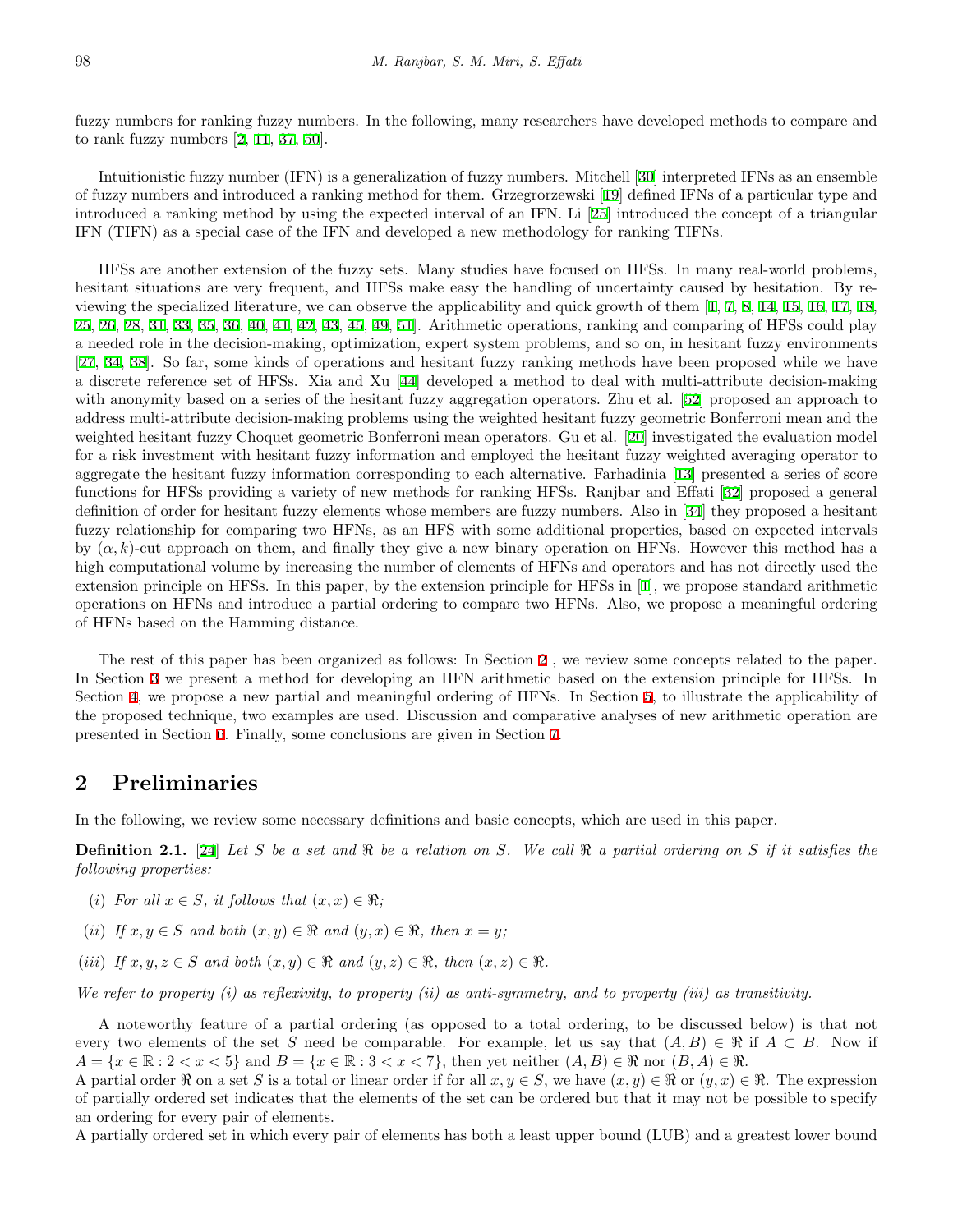fuzzy numbers for ranking fuzzy numbers. In the following, many researchers have developed methods to compare and to rank fuzzy numbers [\[2](#page-15-4), [11](#page-15-5), [37](#page-17-2), [50](#page-17-3)].

Intuitionistic fuzzy number (IFN) is a generalization of fuzzy numbers. Mitchell [\[30](#page-16-5)] interpreted IFNs as an ensemble of fuzzy numbers and introduced a ranking method for them. Grzegrorzewski [[19\]](#page-16-6) defined IFNs of a particular type and introduced a ranking method by using the expected interval of an IFN. Li [[25](#page-16-7)] introduced the concept of a triangular IFN (TIFN) as a special case of the IFN and developed a new methodology for ranking TIFNs.

HFSs are another extension of the fuzzy sets. Many studies have focused on HFSs. In many real-world problems, hesitant situations are very frequent, and HFSs make easy the handling of uncertainty caused by hesitation. By reviewing the specialized literature, we can observe the applicability and quick growth of them [\[1](#page-15-6), [7](#page-15-7), [8](#page-15-8), [14,](#page-16-8) [15,](#page-16-9) [16](#page-16-10), [17](#page-16-11), [18](#page-16-12), [25](#page-16-7), [26](#page-16-13), [28](#page-16-14), [31,](#page-16-15) [33,](#page-16-16) [35,](#page-17-4) [36,](#page-17-5) [40,](#page-17-6) [41,](#page-17-7) [42,](#page-17-8) [43,](#page-17-9) [45,](#page-17-10) [49](#page-17-11), [51](#page-17-12)]. Arithmetic operations, ranking and comparing of HFSs could play a needed role in the decision-making, optimization, expert system problems, and so on, in hesitant fuzzy environments [[27,](#page-16-17) [34](#page-16-0), [38\]](#page-17-13). So far, some kinds of operations and hesitant fuzzy ranking methods have been proposed while we have a discrete reference set of HFSs. Xia and Xu [\[44](#page-17-14)] developed a method to deal with multi-attribute decision-making with anonymity based on a series of the hesitant fuzzy aggregation operators. Zhu et al. [[52\]](#page-17-15) proposed an approach to address multi-attribute decision-making problems using the weighted hesitant fuzzy geometric Bonferroni mean and the weighted hesitant fuzzy Choquet geometric Bonferroni mean operators. Gu et al. [[20\]](#page-16-18) investigated the evaluation model for a risk investment with hesitant fuzzy information and employed the hesitant fuzzy weighted averaging operator to aggregate the hesitant fuzzy information corresponding to each alternative. Farhadinia [[13\]](#page-15-9) presented a series of score functions for HFSs providing a variety of new methods for ranking HFSs. Ranjbar and Effati [[32](#page-16-19)] proposed a general definition of order for hesitant fuzzy elements whose members are fuzzy numbers. Also in [[34](#page-16-0)] they proposed a hesitant fuzzy relationship for comparing two HFNs, as an HFS with some additional properties, based on expected intervals by  $(\alpha, k)$ -cut approach on them, and finally they give a new binary operation on HFNs. However this method has a high computational volume by increasing the number of elements of HFNs and operators and has not directly used the extension principle on HFSs. In this paper, by the extension principle for HFSs in [[1](#page-15-6)], we propose standard arithmetic operations on HFNs and introduce a partial ordering to compare two HFNs. Also, we propose a meaningful ordering of HFNs based on the Hamming distance.

The rest of this paper has been organized as follows: In Section [2](#page-1-0) , we review some concepts related to the paper. In Section [3](#page-5-0) we present a method for developing an HFN arithmetic based on the extension principle for HFSs. In Section [4](#page-8-0), we propose a new partial and meaningful ordering of HFNs. In Section [5](#page-10-0), to illustrate the applicability of the proposed technique, two examples are used. Discussion and comparative analyses of new arithmetic operation are presented in Section [6](#page-13-0). Finally, some conclusions are given in Section [7.](#page-15-10)

### <span id="page-1-0"></span>**2 Preliminaries**

In the following, we review some necessary definitions and basic concepts, which are used in this paper.

**Definition 2.1.** [[24\]](#page-16-20) *Let S be a set and ℜ be a relation on S. We call ℜ a partial ordering on S if it satisfies the following properties:*

- (*i*) *For all*  $x \in S$ *, it follows that*  $(x, x) \in \Re$ ;
- (*ii*) *If*  $x, y \in S$  *and both*  $(x, y) \in \Re$  *and*  $(y, x) \in \Re$ , *then*  $x = y$ ;
- $(iii)$  *If*  $x, y, z \in S$  *and both*  $(x, y) \in \Re$  *and*  $(y, z) \in \Re$ , *then*  $(x, z) \in \Re$ .

*We refer to property (i) as reflexivity, to property (ii) as anti-symmetry, and to property (iii) as transitivity.*

A noteworthy feature of a partial ordering (as opposed to a total ordering, to be discussed below) is that not every two elements of the set *S* need be comparable. For example, let us say that  $(A, B) \in \mathcal{R}$  if  $A \subset B$ . Now if  $A = \{x \in \mathbb{R} : 2 < x < 5\}$  and  $B = \{x \in \mathbb{R} : 3 < x < 7\}$ , then yet neither  $(A, B) \in \mathbb{R}$  nor  $(B, A) \in \mathbb{R}$ .

A partial order  $\Re$  on a set *S* is a total or linear order if for all  $x, y \in S$ , we have  $(x, y) \in \Re$  or  $(y, x) \in \Re$ . The expression of partially ordered set indicates that the elements of the set can be ordered but that it may not be possible to specify an ordering for every pair of elements.

A partially ordered set in which every pair of elements has both a least upper bound (LUB) and a greatest lower bound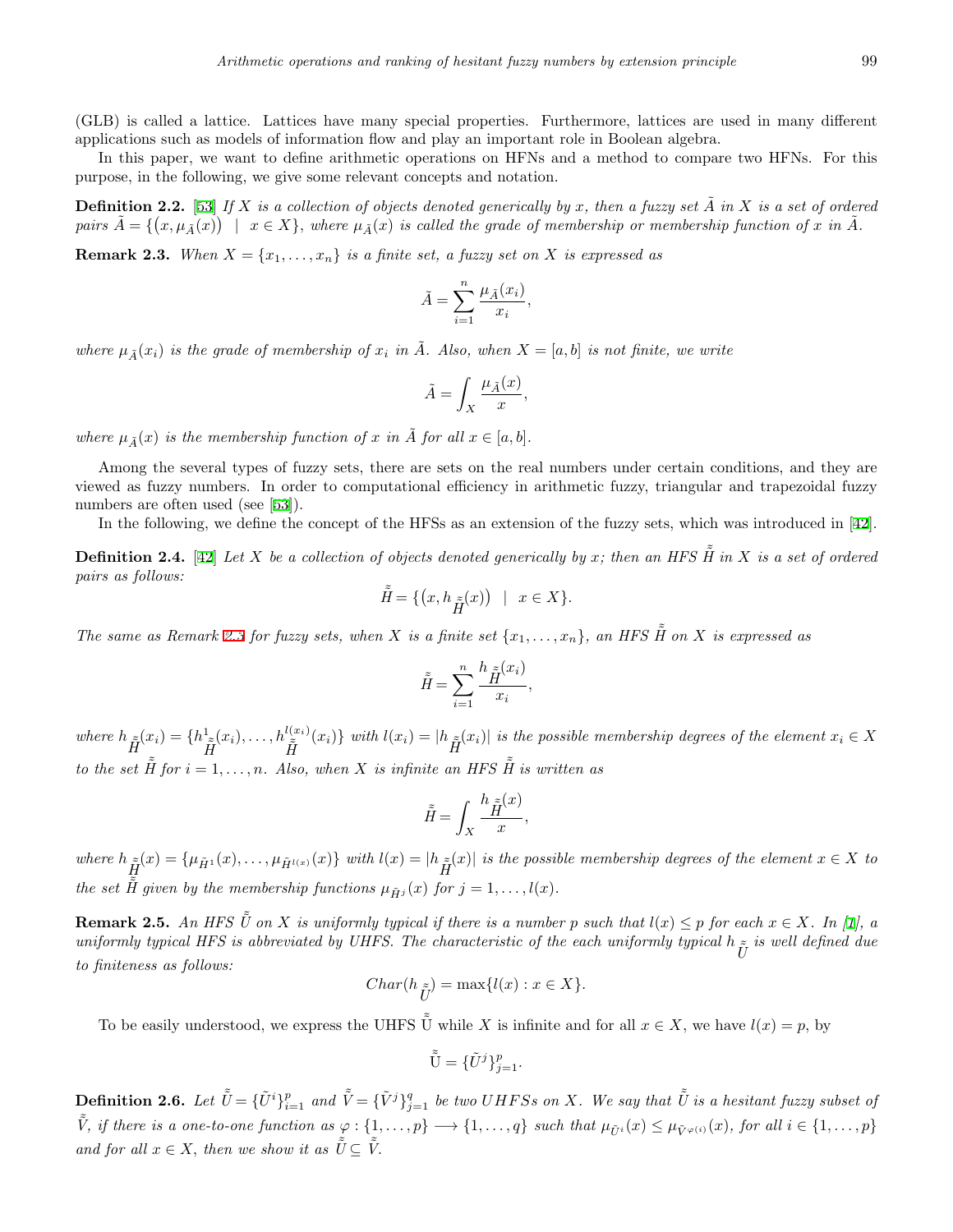(GLB) is called a lattice. Lattices have many special properties. Furthermore, lattices are used in many different applications such as models of information flow and play an important role in Boolean algebra.

In this paper, we want to define arithmetic operations on HFNs and a method to compare two HFNs. For this purpose, in the following, we give some relevant concepts and notation.

**Definition 2.2.** [[53\]](#page-17-16) If X is a collection of objects denoted generically by x, then a fuzzy set  $\tilde{A}$  in X is a set of ordered pairs  $\tilde{A} = \{(x, \mu_{\tilde{A}}(x)) \mid x \in X\}$ , where  $\mu_{\tilde{A}}(x)$  is called the grade of membership or membership function of x in  $\tilde{A}$ .

<span id="page-2-0"></span>**Remark 2.3.** *When*  $X = \{x_1, \ldots, x_n\}$  *is a finite set, a fuzzy set on*  $X$  *is expressed as* 

$$
\tilde{A} = \sum_{i=1}^{n} \frac{\mu_{\tilde{A}}(x_i)}{x_i}
$$

*,*

*where*  $\mu_{\tilde{A}}(x_i)$  *is the grade of membership of*  $x_i$  *in*  $\tilde{A}$ *. Also, when*  $X = [a, b]$  *is not finite, we write* 

$$
\tilde{A} = \int_X \frac{\mu_{\tilde{A}}(x)}{x},
$$

*where*  $\mu_{\tilde{A}}(x)$  *is the membership function of x in*  $\tilde{A}$  *for all*  $x \in [a, b]$ *.* 

Among the several types of fuzzy sets, there are sets on the real numbers under certain conditions, and they are viewed as fuzzy numbers. In order to computational efficiency in arithmetic fuzzy, triangular and trapezoidal fuzzy numbers are often used (see [[53\]](#page-17-16)).

In the following, we define the concept of the HFSs as an extension of the fuzzy sets, which was introduced in [[42](#page-17-8)].

**Definition 2.4.** [[42\]](#page-17-8) Let X be a collection of objects denoted generically by x; then an HFS  $\tilde{H}$  in X is a set of ordered *pairs as follows:*

$$
\tilde{\tilde{H}} = \{ \left( x, h_{\tilde{\tilde{H}}}(x) \right) \mid x \in X \}.
$$

*The same as Remark [2.3](#page-2-0) for fuzzy sets, when X is a finite set*  $\{x_1, \ldots, x_n\}$ *, an HFS*  $\tilde{H}$  *on X is expressed as* 

$$
\tilde{\tilde{H}} = \sum_{i=1}^{n} \frac{h_{\tilde{H}}(x_i)}{x_i},
$$

where  $h_{\tilde{H}}(x_i) = \{h_{\tilde{H}}^1(x_i), \ldots, h_{\tilde{H}}^{l(x_i)}(x_i)\}\$  with  $l(x_i) = |h_{\tilde{H}}(x_i)|$  is the possible membership degrees of the element  $x_i \in X$ *to the set*  $\tilde{H}$  *for*  $i = 1, \ldots, n$ *. Also, when X is infinite an HFS*  $\tilde{H}$  *is written as* 

$$
\tilde{\tilde{H}} = \int_X \frac{h \, \tilde{\tilde{H}}^{(x)}}{x},
$$

where  $h_{\tilde{H}}(x) = {\mu_{\tilde{H}^1}(x), \ldots, \mu_{\tilde{H}^{l(x)}}(x)}$  with  $l(x) = |h_{\tilde{H}}(x)|$  is the possible membership degrees of the element  $x \in X$  to *the set*  $\tilde{H}$  given by the membership functions  $\mu_{\tilde{H}j}(x)$  for  $j = 1, \ldots, l(x)$ .

**Remark 2.5.** An HFS  $\tilde{U}$  on X is uniformly typical if there is a number p such that  $l(x) \leq p$  for each  $x \in X$ . In [\[1](#page-15-6)], a *uniformly typical HFS is abbreviated by UHFS. The characteristic of the each uniformly typical*  $h_{\tilde{U}}$  *is well defined due to finiteness as follows:*

$$
Char(h_{\tilde{U}}) = \max\{l(x) : x \in X\}.
$$

To be easily understood, we express the UHFS  $\tilde{U}$  while X is infinite and for all  $x \in X$ , we have  $l(x) = p$ , by

$$
\tilde{\tilde{\mathbf{U}}} = {\tilde{U}}^j \}_{j=1}^p.
$$

<span id="page-2-1"></span>**Definition 2.6.** Let  $\tilde{\tilde{U}} = \{\tilde{U}^i\}_{i=1}^p$  and  $\tilde{\tilde{V}} = \{\tilde{V}^j\}_{j=1}^q$  be two UHFSs on X. We say that  $\tilde{\tilde{U}}$  is a hesitant fuzzy subset of  $\tilde{\tilde{V}}$ , if there is a one-to-one function as  $\varphi: \{1,\ldots,p\} \longrightarrow \{1,\ldots,q\}$  such that  $\mu_{\tilde{U}^i}(x) \leq \mu_{\tilde{V}^{\varphi(i)}}(x)$ , for all  $i \in \{1,\ldots,p\}$ *and for all*  $x \in X$ *, then we show it as*  $\tilde{U} \subset \tilde{V}$ *.*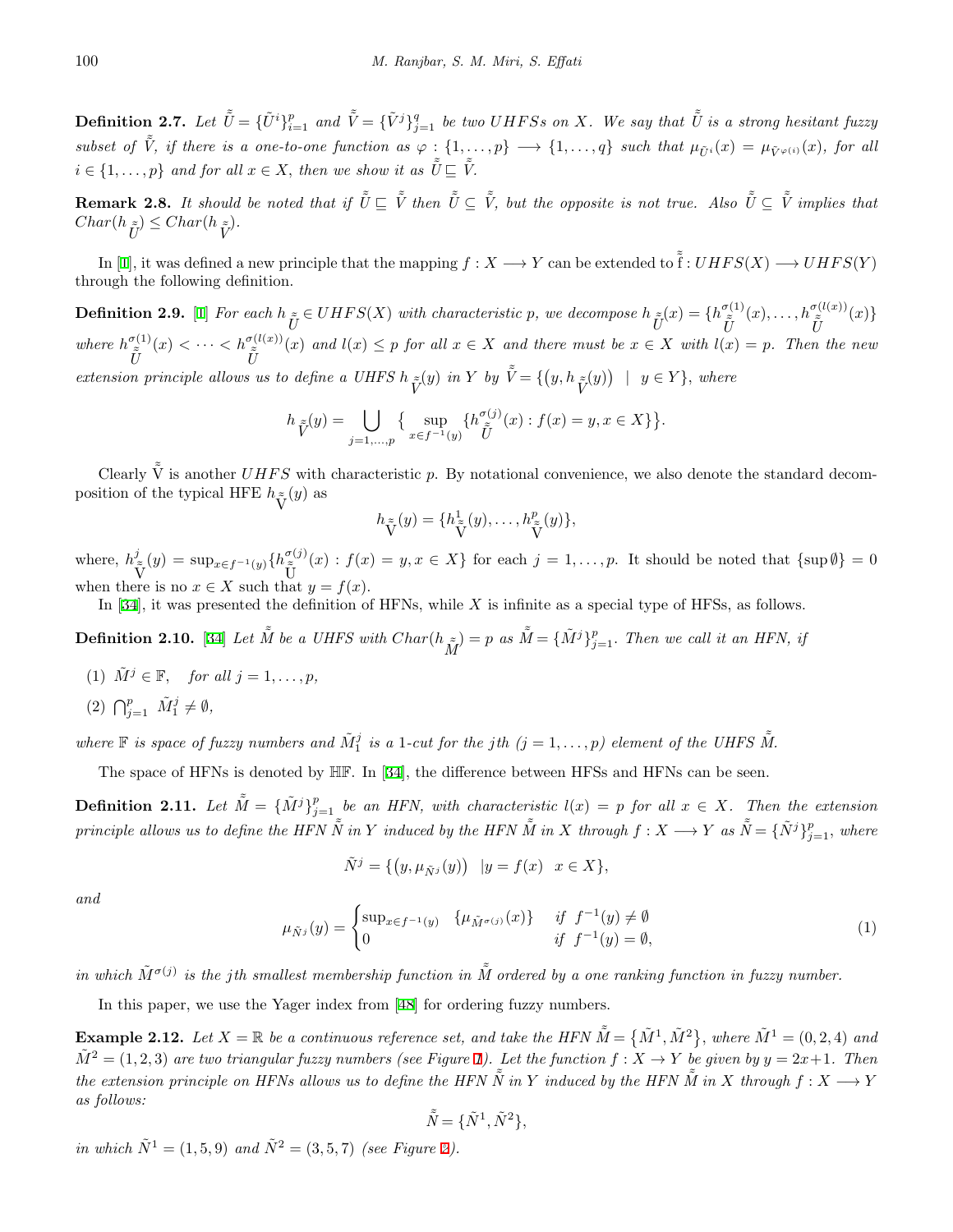**Definition 2.7.** Let  $\tilde{\tilde{U}} = \{\tilde{U}^i\}_{i=1}^p$  and  $\tilde{\tilde{V}} = \{\tilde{V}^j\}_{j=1}^q$  be two UHFSs on X. We say that  $\tilde{\tilde{U}}$  is a strong hesitant fuzzy subset of  $\tilde{V}$ , if there is a one-to-one function as  $\varphi: \{1,\ldots,p\} \longrightarrow \{1,\ldots,q\}$  such that  $\mu_{\tilde{U}^i}(x) = \mu_{\tilde{V}^{\varphi(i)}}(x)$ , for all  $i \in \{1, \ldots, p\}$  *and for all*  $x \in X$ *, then we show it as*  $\tilde{U} \subseteq \tilde{V}$ .

**Remark 2.8.** It should be noted that if  $\tilde{U} \subseteq \tilde{V}$  then  $\tilde{U} \subseteq \tilde{V}$ , but the opposite is not true. Also  $\tilde{U} \subseteq \tilde{V}$  implies that  $Char(h_{\tilde{U}}) \leq Char(h_{\tilde{V}}).$ 

In [[1\]](#page-15-6), it was defined a new principle that the mapping  $f : X \longrightarrow Y$  can be extended to  $\tilde{f} : UHFS(X) \longrightarrow UHFS(Y)$ through the following definition.

**Definition 2.9.** [[1\]](#page-15-6) For each  $h_{\tilde{U}} \in UHFS(X)$  with characteristic p, we decompose  $h_{\tilde{U}}(x) = \{h_{\tilde{U}}^{\sigma(1)}(x), \ldots, h_{\tilde{U}}^{\sigma(l(x))}(x)\}\$ where  $h_{\tilde{U}}^{\sigma(1)}(x) < \cdots < h_{\tilde{U}}^{\sigma(l(x))}(x)$  and  $l(x) \leq p$  for all  $x \in X$  and there must be  $x \in X$  with  $l(x) = p$ . Then the new extension principle allows us to define a UHFS  $h \tilde{V}(y)$  in Y by  $\tilde{\tilde{V}} = \{(y, h \tilde{V}(y)) | y \in Y\}$ , where

$$
h_{\widetilde{V}}(y) = \bigcup_{j=1,\ldots,p} \left\{ \sup_{x \in f^{-1}(y)} \{ h_{\widetilde{U}}^{\sigma(j)}(x) : f(x) = y, x \in X \} \right\}.
$$

Clearly  $\tilde{\hat{V}}$  is another UHFS with characteristic p. By notational convenience, we also denote the standard decomposition of the typical HFE  $h_{\tilde{V}}(y)$  as

$$
h_{\tilde{V}}(y) = \{h_{\tilde{V}}^1(y), \dots, h_{\tilde{V}}^p(y)\},\
$$

where,  $h^j$  $\tilde{\widetilde{V}}(y) = \sup_{x \in f^{-1}(y)} \{h_{\widetilde{z}}^{\sigma(j)}\}\$  $\tilde{U}^{(j)}(x)$ :  $f(x) = y, x \in X$  for each  $j = 1, \ldots, p$ . It should be noted that  $\{\sup \emptyset\} = 0$ when there is no  $x \in X$  such that  $y = f(x)$ .

In [\[34](#page-16-0)], it was presented the definition of HFNs, while *X* is infinite as a special type of HFSs, as follows.

<span id="page-3-2"></span>**Definition 2.10.** [[34\]](#page-16-0) Let  $\tilde{M}$  be a UHFS with  $Char(h_{\tilde{M}}) = p$  as  $\tilde{M} = {\tilde{M}}^j \}_{j=1}^p$ . Then we call it an HFN, if

- (1)  $\tilde{M}^j \in \mathbb{F}$ , for all  $j = 1, \ldots, p$ ,
- $(2)$   $\bigcap_{j=1}^p$   $\tilde{M}_1^j \neq \emptyset$ ,

where  $\mathbb F$  is space of fuzzy numbers and  $\tilde{M}_1^j$  is a 1-cut for the jth  $(j = 1, \ldots, p)$  element of the UHFS  $\tilde{M}$ .

The space of HFNs is denoted by HF. In [[34\]](#page-16-0), the difference between HFSs and HFNs can be seen.

**Definition 2.11.** Let  $\tilde{M} = {\{\tilde{M}^j\}}_{j=1}^p$  be an HFN, with characteristic  $l(x) = p$  for all  $x \in X$ . Then the extension principle allows us to define the HFN  $\tilde N$  in Y induced by the HFN  $\tilde M$  in X through  $f:X\longrightarrow Y$  as  $\tilde{\tilde N}=\{\tilde N^j\}_{j=1}^p,$  where

$$
\tilde{N}^j = \{ (y, \mu_{\tilde{N}^j}(y)) \mid y = f(x) \quad x \in X \},
$$

*and*

$$
\mu_{\tilde{N}^j}(y) = \begin{cases} \sup_{x \in f^{-1}(y)} & \{ \mu_{\tilde{M}^{\sigma(j)}}(x) \} & \text{if } f^{-1}(y) \neq \emptyset \\ 0 & \text{if } f^{-1}(y) = \emptyset, \end{cases}
$$
(1)

*in which*  $\tilde{M}^{\sigma(j)}$  *is the jth smallest membership function in*  $\tilde{M}$  ordered by a one ranking function in fuzzy number.

In this paper, we use the Yager index from [\[48](#page-17-1)] for ordering fuzzy numbers.

<span id="page-3-0"></span>**Example 2.12.** Let  $X = \mathbb{R}$  be a continuous reference set, and take the HFN  $\tilde{M} = \{ \tilde{M}^1, \tilde{M}^2 \}$ , where  $\tilde{M}^1 = (0, 2, 4)$  and  $\tilde{M}^2 = (1, 2, 3)$  are two triangular fuzzy numbers (see Figure [1\)](#page-4-0). Let the function  $f : X \to Y$  be given by  $y = 2x+1$ . Then *the extension principle on HFNs allows us to define the HFN*  $\tilde{N}$  *in Y induced by the HFN*  $\tilde{M}$  *in X through*  $f: X \longrightarrow Y$ *as follows:*

$$
\tilde{\tilde{N}} = \{ \tilde{N}^1, \tilde{N}^2 \},
$$

<span id="page-3-1"></span>*in which*  $\tilde{N}^1 = (1, 5, 9)$  *and*  $\tilde{N}^2 = (3, 5, 7)$  $\tilde{N}^2 = (3, 5, 7)$  $\tilde{N}^2 = (3, 5, 7)$  *(see Figure 2).*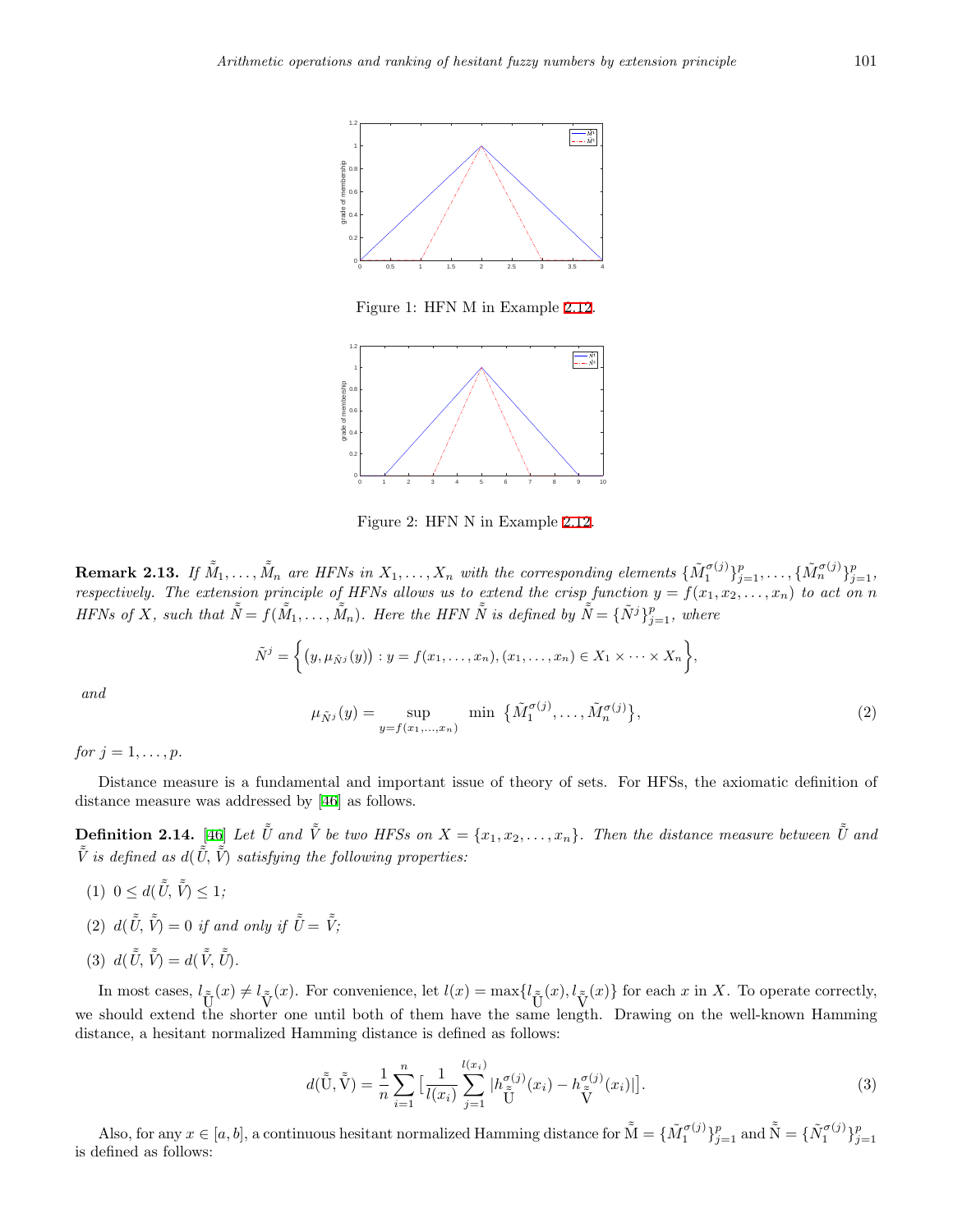

<span id="page-4-0"></span>Figure 1: HFN M in Example [2.12](#page-3-0).



<span id="page-4-1"></span>Figure 2: HFN N in Example [2.12.](#page-3-0)

**Remark 2.13.** If  $\tilde{M}_1, \ldots, \tilde{M}_n$  are HFNs in  $X_1, \ldots, X_n$  with the corresponding elements  $\{\tilde{M}_1^{\sigma(j)}\}_{j=1}^p, \ldots, \{\tilde{M}_n^{\sigma(j)}\}_{j=1}^p,$ *respectively. The extension principle of HFNs allows us to extend the crisp function*  $y = f(x_1, x_2, \ldots, x_n)$  to act on n HFNs of X, such that  $\tilde{\tilde{N}} = f(\tilde{M}_1, \ldots, \tilde{M}_n)$ . Here the HFN  $\tilde{\tilde{N}}$  is defined by  $\tilde{\tilde{N}} = {\tilde{N}}^j\}_{j=1}^p$ , where

$$
\tilde{N}^j = \left\{ (y, \mu_{\tilde{N}^j}(y)) : y = f(x_1, \ldots, x_n), (x_1, \ldots, x_n) \in X_1 \times \cdots \times X_n \right\},\
$$

*and*

$$
\mu_{\tilde{N}^j}(y) = \sup_{y = f(x_1, ..., x_n)} \min \{ \tilde{M}_1^{\sigma(j)}, ..., \tilde{M}_n^{\sigma(j)} \},
$$
\n(2)

*for*  $j = 1, ..., p$ *.* 

Distance measure is a fundamental and important issue of theory of sets. For HFSs, the axiomatic definition of distance measure was addressed by [[46](#page-17-17)] as follows.

**Definition 2.14.** [\[46](#page-17-17)] Let  $\tilde{U}$  and  $\tilde{V}$  be two HFSs on  $X = \{x_1, x_2, \ldots, x_n\}$ . Then the distance measure between  $\tilde{U}$  and  $\tilde{\tilde{V}}$  *is defined as*  $d(\tilde{\tilde{U}}, \tilde{\tilde{V}})$  *satisfying the following properties:* 

- $(1)$   $0 \leq d(\tilde{\tilde{U}}, \tilde{\tilde{V}}) \leq 1;$
- (2)  $d(\tilde{\tilde{U}}, \tilde{\tilde{V}}) = 0$  if and only if  $\tilde{\tilde{U}} = \tilde{\tilde{V}}$ ;

$$
(3) d(\tilde{\tilde{U}}, \tilde{\tilde{V}}) = d(\tilde{\tilde{V}}, \tilde{\tilde{U}}).
$$

In most cases,  $l_{\tilde{V}}(x) \neq l_{\tilde{V}}(x)$ . For convenience, let  $l(x) = \max\{l_{\tilde{U}}(x), l_{\tilde{V}}(x)\}\$  for each x in X. To operate correctly, we should extend the shorter one until both of them have the same length. Drawing on the well-known Hamming distance, a hesitant normalized Hamming distance is defined as follows:

$$
d(\tilde{\tilde{U}}, \tilde{\tilde{V}}) = \frac{1}{n} \sum_{i=1}^{n} \left[ \frac{1}{l(x_i)} \sum_{j=1}^{l(x_i)} |h_{\tilde{\tilde{U}}}^{\sigma(j)}(x_i) - h_{\tilde{\tilde{V}}}^{\sigma(j)}(x_i)| \right].
$$
\n(3)

Also, for any  $x \in [a, b]$ , a continuous hesitant normalized Hamming distance for  $\tilde{M} = {\{\tilde{M}_1^{\sigma(j)}\}}_{j=1}^p$  and  $\tilde{\tilde{N}} = {\{\tilde{N}_1^{\sigma(j)}\}}_{j=1}^p$ is defined as follows: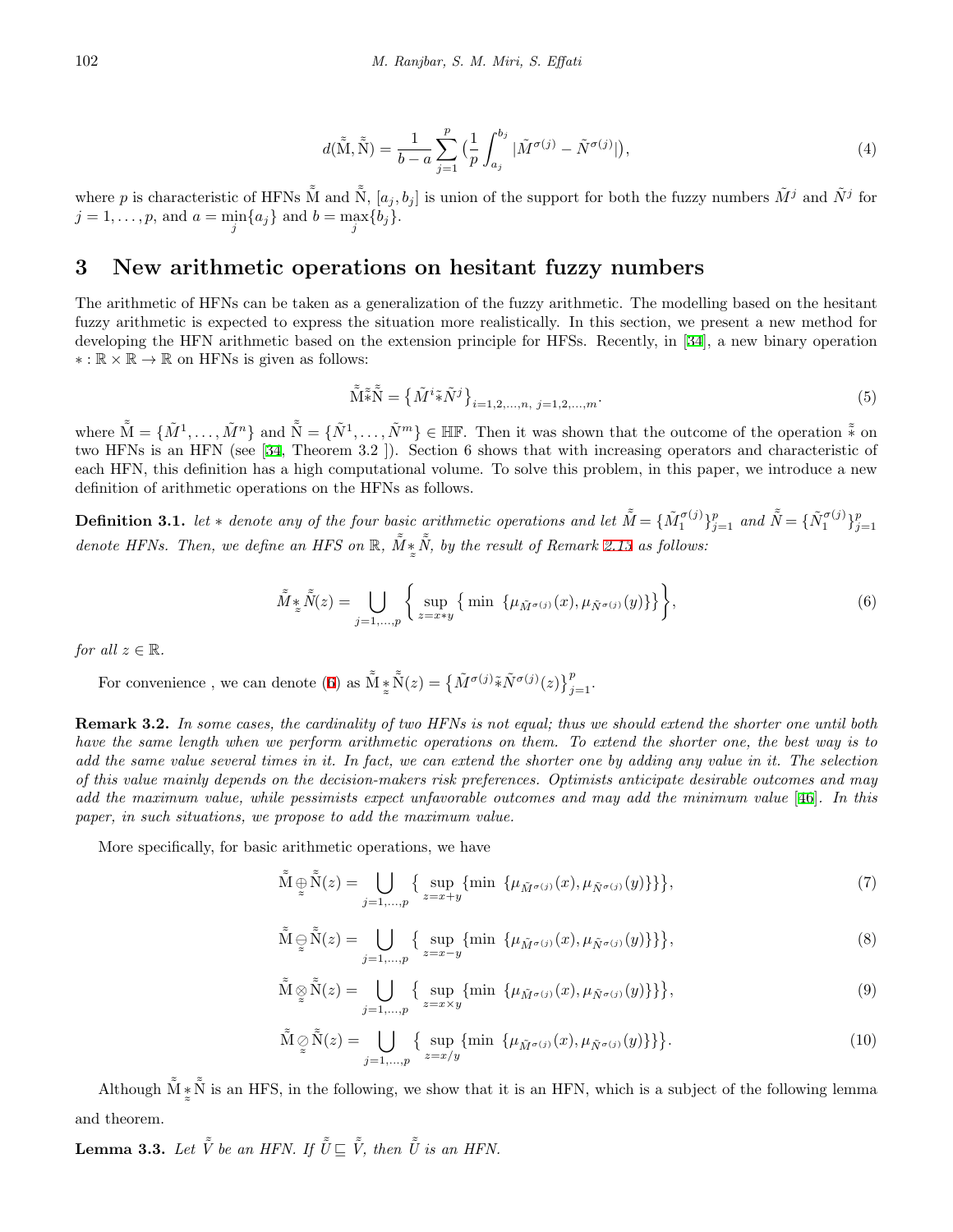$$
d(\tilde{\mathbf{M}}, \tilde{\mathbf{N}}) = \frac{1}{b-a} \sum_{j=1}^{p} \left(\frac{1}{p} \int_{a_j}^{b_j} |\tilde{M}^{\sigma(j)} - \tilde{N}^{\sigma(j)}| \right),\tag{4}
$$

<span id="page-5-9"></span>where *p* is characteristic of HFNs  $\tilde{M}$  and  $\tilde{N}$ ,  $[a_j, b_j]$  is union of the support for both the fuzzy numbers  $\tilde{M}^j$  and  $\tilde{N}^j$  for  $j = 1, \ldots, p$ , and  $a = \min_{j} \{a_j\}$  and  $b = \max_{j} \{b_j\}$ .

#### <span id="page-5-0"></span>**3 New arithmetic operations on hesitant fuzzy numbers**

The arithmetic of HFNs can be taken as a generalization of the fuzzy arithmetic. The modelling based on the hesitant fuzzy arithmetic is expected to express the situation more realistically. In this section, we present a new method for developing the HFN arithmetic based on the extension principle for HFSs. Recently, in [[34\]](#page-16-0), a new binary operation *∗* : R *×* R *→* R on HFNs is given as follows:

<span id="page-5-1"></span>
$$
\tilde{\tilde{\mathbf{M}}}\tilde{\tilde{\ast}}\tilde{\tilde{\mathbf{N}}} = \left\{ \tilde{M}^i \tilde{\ast} \tilde{N}^j \right\}_{i=1,2,\dots,n, \ j=1,2,\dots,m}.\tag{5}
$$

where  $\tilde{M} = \{\tilde{M}^1,\ldots,\tilde{M}^n\}$  and  $\tilde{\tilde{N}} = \{\tilde{N}^1,\ldots,\tilde{N}^m\} \in \mathbb{HF}$ . Then it was shown that the outcome of the operation  $\tilde{\tilde{*}}$  on two HFNs is an HFN (see [[34,](#page-16-0) Theorem 3.2 ]). Section 6 shows that with increasing operators and characteristic of each HFN, this definition has a high computational volume. To solve this problem, in this paper, we introduce a new definition of arithmetic operations on the HFNs as follows.

<span id="page-5-3"></span>**Definition 3.1.** let \* denote any of the four basic arithmetic operations and let  $\tilde{M} = {\{\tilde{M}_1^{\sigma(j)}\}}_{j=1}^p$  and  $\tilde{\tilde{N}} = {\{\tilde{N}_1^{\sigma(j)}\}}_{j=1}^p$ *denote HFNs. Then, we define an HFS on*  $\mathbb{R}$ ,  $\tilde{M}$ <sup>\*</sup>  $\tilde{\phantom{a}}$  $\tilde{\tilde{N}}$ , by the result of Remark [2.13](#page-3-1) as follows:

$$
\tilde{M} *_{z}\tilde{N}(z) = \bigcup_{j=1,\ldots,p} \left\{ \sup_{z=x*y} \left\{ \min \left\{ \mu_{\tilde{M}^{\sigma(j)}}(x), \mu_{\tilde{N}^{\sigma(j)}}(y) \right\} \right\} \right\},\tag{6}
$$

*for all*  $z \in \mathbb{R}$ *.* 

For convenience , we can denote ([6\)](#page-5-1) as  $\tilde{\tilde{M}}$  <u> $*$ </u>  $\approx$  $\tilde{\tilde{N}}(z) = \left\{ \tilde{M}^{\sigma(j)} \tilde{*} \tilde{N}^{\sigma(j)}(z) \right\}_{j=1}^{p}$ 

<span id="page-5-8"></span>**Remark 3.2.** *In some cases, the cardinality of two HFNs is not equal; thus we should extend the shorter one until both have the same length when we perform arithmetic operations on them. To extend the shorter one, the best way is to add the same value several times in it. In fact, we can extend the shorter one by adding any value in it. The selection of this value mainly depends on the decision-makers risk preferences. Optimists anticipate desirable outcomes and may add the maximum value, while pessimists expect unfavorable outcomes and may add the minimum value* [\[46\]](#page-17-17)*. In this paper, in such situations, we propose to add the maximum value.*

<span id="page-5-5"></span>More specifically, for basic arithmetic operations, we have

<span id="page-5-4"></span>
$$
\tilde{\mathbf{M}} \underset{\approx}{\oplus} \tilde{\mathbf{N}}(z) = \bigcup_{j=1,\dots,p} \left\{ \sup_{z=x+y} \{\min \left\{ \mu_{\tilde{M}^{\sigma(j)}}(x), \mu_{\tilde{N}^{\sigma(j)}}(y) \right\} \right\},\tag{7}
$$

$$
\tilde{\mathbf{M}} \underset{\approx}{\sup} \tilde{\mathbf{N}}(z) = \bigcup_{j=1,\dots,p} \left\{ \sup_{z=x-y} \{\min \left\{ \mu_{\tilde{M}^{\sigma(j)}}(x), \mu_{\tilde{N}^{\sigma(j)}}(y) \right\} \} \right\},\tag{8}
$$

$$
\tilde{\mathbf{M}} \underset{\approx}{\otimes} \tilde{\mathbf{N}}(z) = \bigcup_{j=1,\dots,p} \left\{ \underset{z=x \times y}{\sup} \{ \min \left\{ \mu_{\tilde{M}^{\sigma(j)}}(x), \mu_{\tilde{N}^{\sigma(j)}}(y) \right\} \} \right\},\tag{9}
$$

$$
\tilde{\mathbf{M}} \underset{\approx}{\circ} \tilde{\mathbf{N}}(z) = \bigcup_{j=1,\dots,p} \left\{ \sup_{z=x/y} \left\{ \min \left\{ \mu_{\tilde{M}^{\sigma(j)}}(x), \mu_{\tilde{N}^{\sigma(j)}}(y) \right\} \right\} \right\}. \tag{10}
$$

<span id="page-5-7"></span><span id="page-5-6"></span>Although  $\tilde{\tilde{M}}$  *∗*  $\approx$  $\tilde{\tilde{N}}$  is an HFS, in the following, we show that it is an HFN, which is a subject of the following lemma and theorem.

<span id="page-5-2"></span>**Lemma 3.3.** *Let*  $\tilde{V}$  *be an HFN. If*  $\tilde{U} \subseteq \tilde{V}$ *, then*  $\tilde{U}$  *is an HFN.*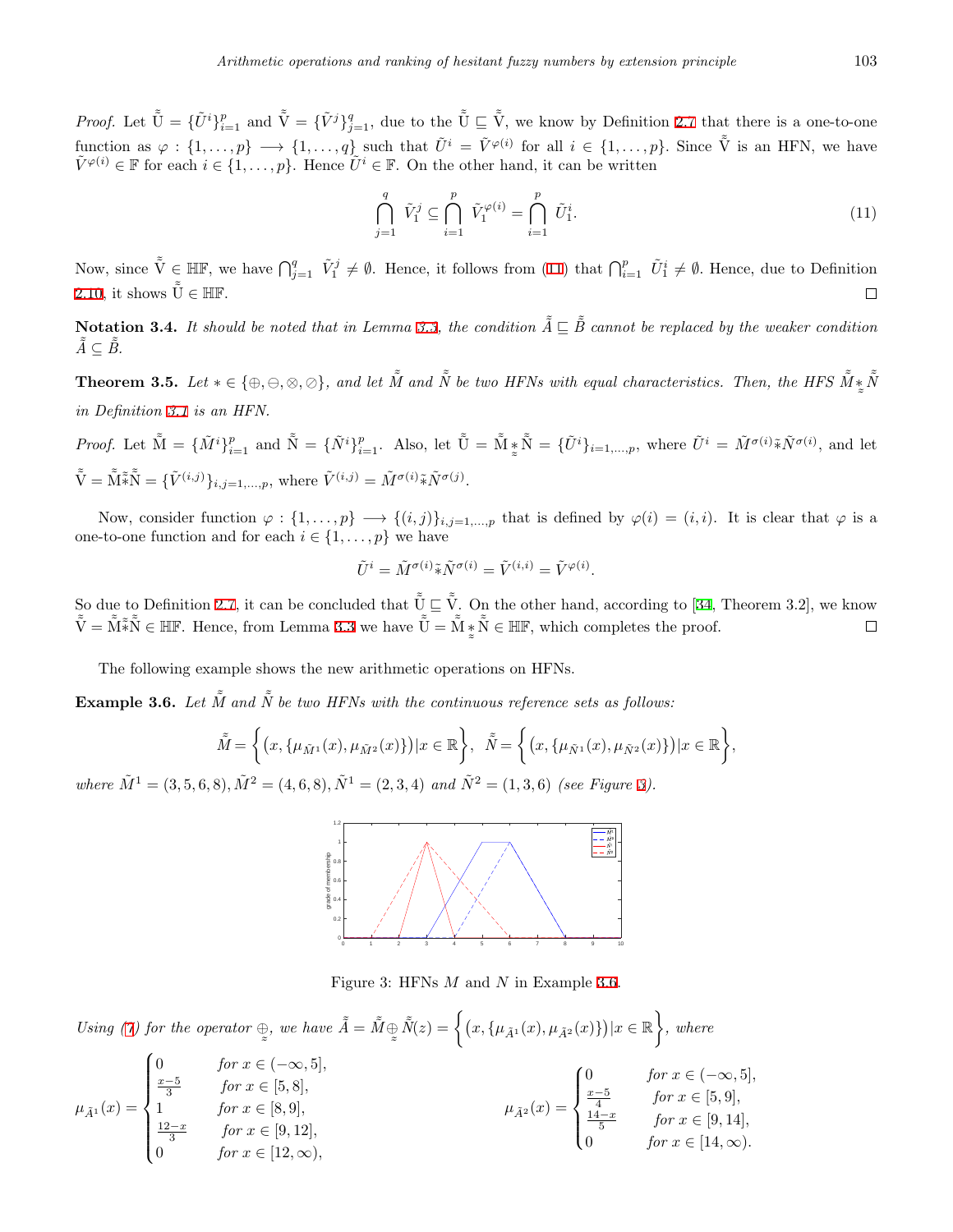*Proof.* Let  $\tilde{\tilde{U}} = {\{\tilde{U}^i\}}_{i=1}^p$  and  $\tilde{\tilde{V}} = {\{\tilde{V}^j\}}_{j=1}^q$ , due to the  $\tilde{\tilde{U}} \subseteq \tilde{\tilde{V}}$ , we know by Definition [2.7](#page-2-1) that there is a one-to-one function as  $\varphi: \{1,\ldots,p\} \longrightarrow \{1,\ldots,q\}$  such that  $\tilde{U}^i = \tilde{V}^{\varphi(i)}$  for all  $i \in \{1,\ldots,p\}$ . Since  $\tilde{\tilde{V}}$  is an HFN, we have  $\tilde{V}^{\varphi(i)} \in \mathbb{F}$  for each  $i \in \{1, \ldots, p\}$ . Hence  $\tilde{U}^i \in \mathbb{F}$ . On the other hand, it can be written

<span id="page-6-0"></span>
$$
\bigcap_{j=1}^{q} \tilde{V}_{1}^{j} \subseteq \bigcap_{i=1}^{p} \tilde{V}_{1}^{\varphi(i)} = \bigcap_{i=1}^{p} \tilde{U}_{1}^{i}.
$$
\n(11)

Now, since  $\tilde{\tilde{V}} \in \mathbb{HF}$ , we have  $\bigcap_{j=1}^q \tilde{V}_1^j \neq \emptyset$ . Hence, it follows from ([11\)](#page-6-0) that  $\bigcap_{i=1}^p \tilde{U}_1^i \neq \emptyset$ . Hence, due to Definition [2.10,](#page-3-2) it shows  $\tilde{\tilde{U}} \in \mathbb{HF}$ .  $\Box$ 

**Notation 3.4.** *It should be noted that in Lemma [3.3](#page-5-2), the condition*  $\tilde{A} \subseteq \tilde{B}$  cannot be replaced by the weaker condition  $\tilde{A} ⊆ \tilde{B}$ .

<span id="page-6-3"></span>**Theorem 3.5.** Let  $* \in {\oplus, \ominus, \otimes, \oslash}$ , and let  $\tilde{M}$  and  $\tilde{N}$  be two HFNs with equal characteristics. Then, the HFS  $\tilde{M} *$  $\tilde{\phantom{a}}$  $\tilde{\tilde{N}}$ *in Definition [3.1](#page-5-3) is an HFN.*

*Proof.* Let  $\tilde{M} = {\{\tilde{M}^i\}}_{i=1}^p$  and  $\tilde{N} = {\{\tilde{N}^i\}}_{i=1}^p$ . Also, let  $\tilde{\tilde{U}} = \tilde{M} \frac{*}{z}$  $\tilde{\mathbf{N}} = {\{\tilde{U}^i\}}_{i=1,...,p}$ , where  $\tilde{U}^i = \tilde{M}^{\sigma(i)} \tilde{*} \tilde{N}^{\sigma(i)}$ , and let  $\tilde{\tilde{\mathbf{V}}} = \tilde{\tilde{\mathbf{M}}}\tilde{\tilde{\mathbf{w}}}^{\tilde{\mathbf{w}}} = \{\tilde{V}^{(i,j)}\}_{i,j=1,\ldots,p}$ , where  $\tilde{V}^{(i,j)} = \tilde{M}^{\sigma(i)}\tilde{*}\tilde{N}^{\sigma(j)}$ .

Now, consider function  $\varphi: \{1, \ldots, p\} \longrightarrow \{(i, j)\}_{i, j=1, \ldots, p}$  that is defined by  $\varphi(i) = (i, i)$ . It is clear that  $\varphi$  is a one-to-one function and for each  $i \in \{1, \ldots, p\}$  we have

$$
\tilde{U}^i = \tilde{M}^{\sigma(i)} \tilde{*} \tilde{N}^{\sigma(i)} = \tilde{V}^{(i,i)} = \tilde{V}^{\varphi(i)}.
$$

So due to Definition [2.7](#page-2-1), it can be concluded that  $\tilde{\tilde{U}} \subseteq \tilde{\tilde{V}}$ . On the other hand, according to [[34](#page-16-0), Theorem 3.2], we know  $\tilde{\tilde{V}} = \tilde{\tilde{M}} \tilde{*} \tilde{\tilde{N}} \in \mathbb{H} \mathbb{F}$ . Hence, from Lemma [3.3](#page-5-2) we have  $\tilde{\tilde{U}} = \tilde{\tilde{M}} \check{*}$  $\tilde{\mathbf{N}} \in \mathbb{HF},$  which completes the proof.  $\Box$  $\approx$ 

The following example shows the new arithmetic operations on HFNs.

<span id="page-6-2"></span>**Example 3.6.** Let  $\tilde{M}$  and  $\tilde{N}$  be two HFNs with the continuous reference sets as follows:

$$
\tilde{\tilde{M}} = \left\{ (x, \{\mu_{\tilde{M}^1}(x), \mu_{\tilde{M}^2}(x)\}) | x \in \mathbb{R} \right\}, \ \tilde{\tilde{N}} = \left\{ (x, \{\mu_{\tilde{N}^1}(x), \mu_{\tilde{N}^2}(x)\}) | x \in \mathbb{R} \right\},\
$$

where  $\tilde{M}^1 = (3, 5, 6, 8), \tilde{M}^2 = (4, 6, 8), \tilde{N}^1 = (2, 3, 4)$  and  $\tilde{N}^2 = (1, 3, 6)$  (see Figure [3\)](#page-6-1).



<span id="page-6-1"></span>Figure 3: HFNs *M* and *N* in Example [3.6.](#page-6-2)

*Using (* $\gamma$ *) for the operator*  $\oplus$  $\tilde{\phantom{a}}$ *, we have*  $\tilde{\tilde{A}} = \tilde{\tilde{M}} \oplus$  $\tilde{\ }$  $\tilde{\tilde{N}}(z) = \left\{ (x, \{\mu_{\tilde{A}^1}(x), \mu_{\tilde{A}^2}(x)\}) | x \in \mathbb{R} \right\}$  $\lambda$ *, where*

$$
\mu_{\tilde{A}^1}(x) = \begin{cases}\n0 & \text{for } x \in (-\infty, 5], \\
\frac{x-5}{3} & \text{for } x \in [5, 8], \\
1 & \text{for } x \in [8, 9], \\
\frac{12-x}{3} & \text{for } x \in [9, 12], \\
0 & \text{for } x \in [12, \infty),\n\end{cases}\n\qquad\n\mu_{\tilde{A}^2}(x) = \begin{cases}\n0 & \text{for } x \in (-\infty, 5], \\
\frac{x-5}{4} & \text{for } x \in [5, 9], \\
\frac{14-x}{5} & \text{for } x \in [9, 14], \\
0 & \text{for } x \in [14, \infty).\n\end{cases}
$$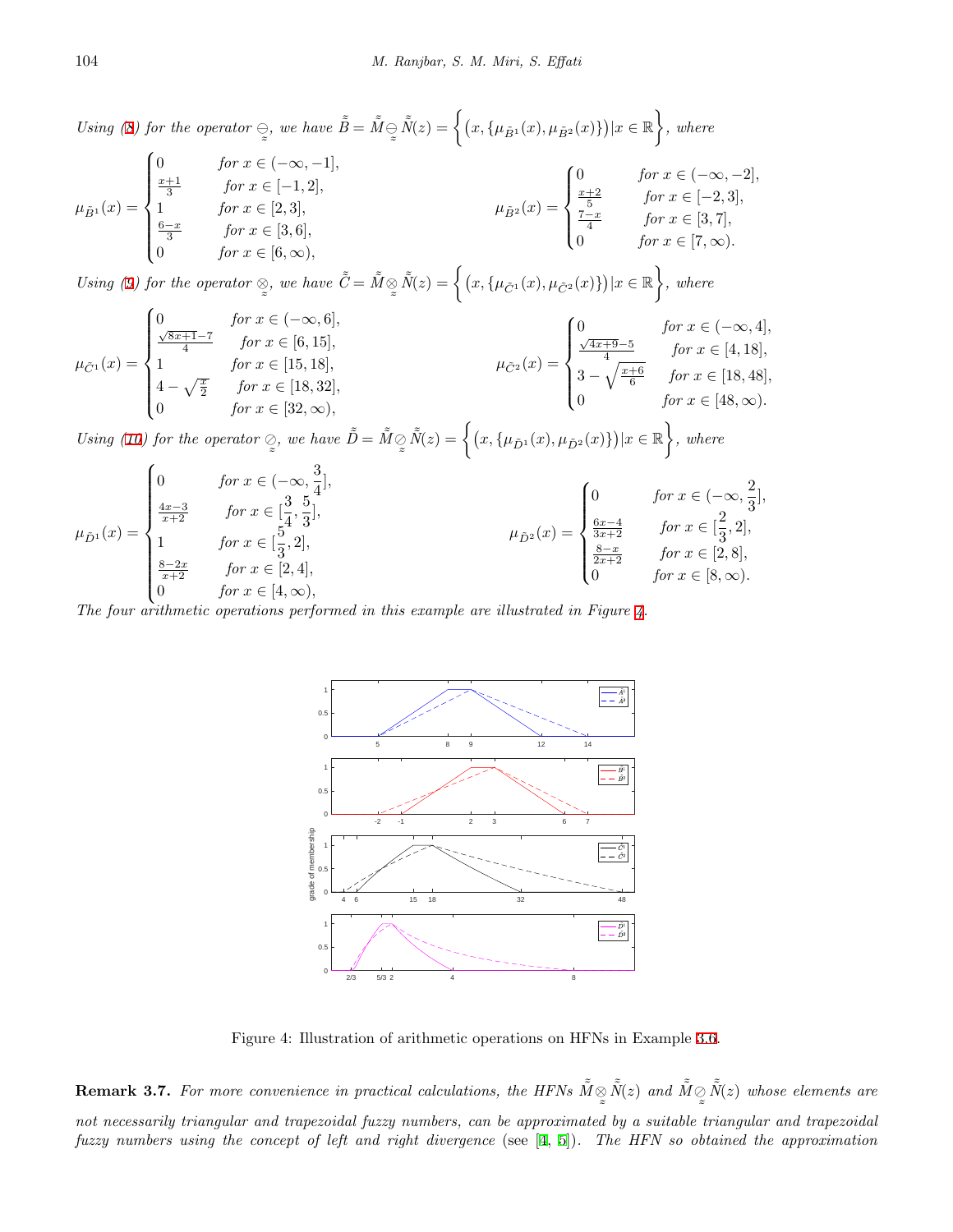*Using*  $(8)$  $(8)$  *for the operator*  $\ominus$  $\tilde{\phantom{a}}$ *, we have*  $\tilde{\tilde{B}} = \tilde{\tilde{M}} \ominus$  $\tilde{\ }$  $\tilde{\tilde{N}}(z) = \left\{ (x, \{\mu_{\tilde{B}^1}(x), \mu_{\tilde{B}^2}(x)\}) | x \in \mathbb{R} \right\}$  $\lambda$ *, where*

$$
\mu_{\tilde{B}^{1}}(x) = \begin{cases}\n0 & \text{for } x \in (-\infty, -1], \\
\frac{x+1}{3} & \text{for } x \in [-1, 2], \\
1 & \text{for } x \in [2, 3], \\
\frac{6-x}{3} & \text{for } x \in [3, 6], \\
0 & \text{for } x \in [6, \infty),\n\end{cases}\n\mu_{\tilde{B}^{2}}(x) = \begin{cases}\n0 & \text{for } x \in (-\infty, -2], \\
\frac{x+2}{5} & \text{for } x \in [-2, 3], \\
\frac{7-x}{4} & \text{for } x \in [3, 7], \\
0 & \text{for } x \in [7, \infty).\n\end{cases}
$$

*Using ([9\)](#page-5-6) for the operator ⊗*  $\tilde{\phantom{a}}$ *, we have*  $\tilde{C} = \tilde{M} \otimes$  $\tilde{\phantom{a}}$  $\tilde{\tilde{N}}(z) = \left\{ (x, \{\mu_{\tilde{C}^1}(x), \mu_{\tilde{C}^2}(x)\}) | x \in \mathbb{R} \right\}$  $\lambda$ *, where*

$$
\mu_{\tilde{C}^1}(x) = \begin{cases}\n0 & \text{for } x \in (-\infty, 6], \\
\frac{\sqrt{8x+1}-7}{4} & \text{for } x \in [6, 15], \\
1 & \text{for } x \in [15, 18], \\
4 - \sqrt{\frac{x}{2}} & \text{for } x \in [18, 32], \\
0 & \text{for } x \in [32, \infty),\n\end{cases}
$$
\n
$$
\mu_{\tilde{C}^2}(x) = \begin{cases}\n0 & \text{for } x \in (-\infty, 4], \\
\frac{\sqrt{4x+9}-5}{4} & \text{for } x \in [4, 18], \\
3 - \sqrt{\frac{x+6}{6}} & \text{for } x \in [18, 48], \\
0 & \text{for } x \in [48, \infty).\n\end{cases}
$$

*Using ([10\)](#page-5-7) for the operator ⊘*  $\tilde{\phantom{a}}$ *, we have*  $\tilde{\tilde{D}} = \tilde{\tilde{M}} \oslash$  $\tilde{\phantom{a}}$  $\tilde{\tilde{N}}(z) = \left\{ (x, \{\mu_{\tilde{D}^1}(x), \mu_{\tilde{D}^2}(x)\}) | x \in \mathbb{R} \right\}$  $\mathcal{L}$ *, where*  $\sqrt{ }$ 

$$
\mu_{\tilde{D}^{1}}(x) = \begin{cases}\n0 & \text{for } x \in (-\infty, \frac{3}{4}], \\
\frac{4x-3}{x+2} & \text{for } x \in [\frac{3}{4}, \frac{5}{3}], \\
1 & \text{for } x \in [\frac{5}{3}, 2], \\
\frac{8-2x}{x+2} & \text{for } x \in [2, 4], \\
0 & \text{for } x \in [4, \infty),\n\end{cases}\n\qquad\n\mu_{\tilde{D}^{2}}(x) = \begin{cases}\n0 & \text{for } x \in (-\infty, \frac{2}{3}], \\
\frac{6x-4}{3x+2} & \text{for } x \in [\frac{2}{3}, 2], \\
\frac{8-x}{2x+2} & \text{for } x \in [2, 8], \\
0 & \text{for } x \in [8, \infty).\n\end{cases}
$$

*The four arithmetic operations performed in this example are illustrated in Figure [4](#page-7-0).*



<span id="page-7-0"></span>Figure 4: Illustration of arithmetic operations on HFNs in Example [3.6](#page-6-2).

**Remark 3.7.** For more convenience in practical calculations, the HFNs  $\tilde{M} \otimes$  $\tilde{\phantom{a}}$  $\tilde{\tilde{N}}(z)$  and  $\tilde{\tilde{M}} \oslash$  $\tilde{\phantom{a}}$  $\tilde{\tilde{N}}(z)$  whose elements are *not necessarily triangular and trapezoidal fuzzy numbers, can be approximated by a suitable triangular and trapezoidal fuzzy numbers using the concept of left and right divergence* (see [[4,](#page-15-11) [5](#page-15-12)])*. The HFN so obtained the approximation*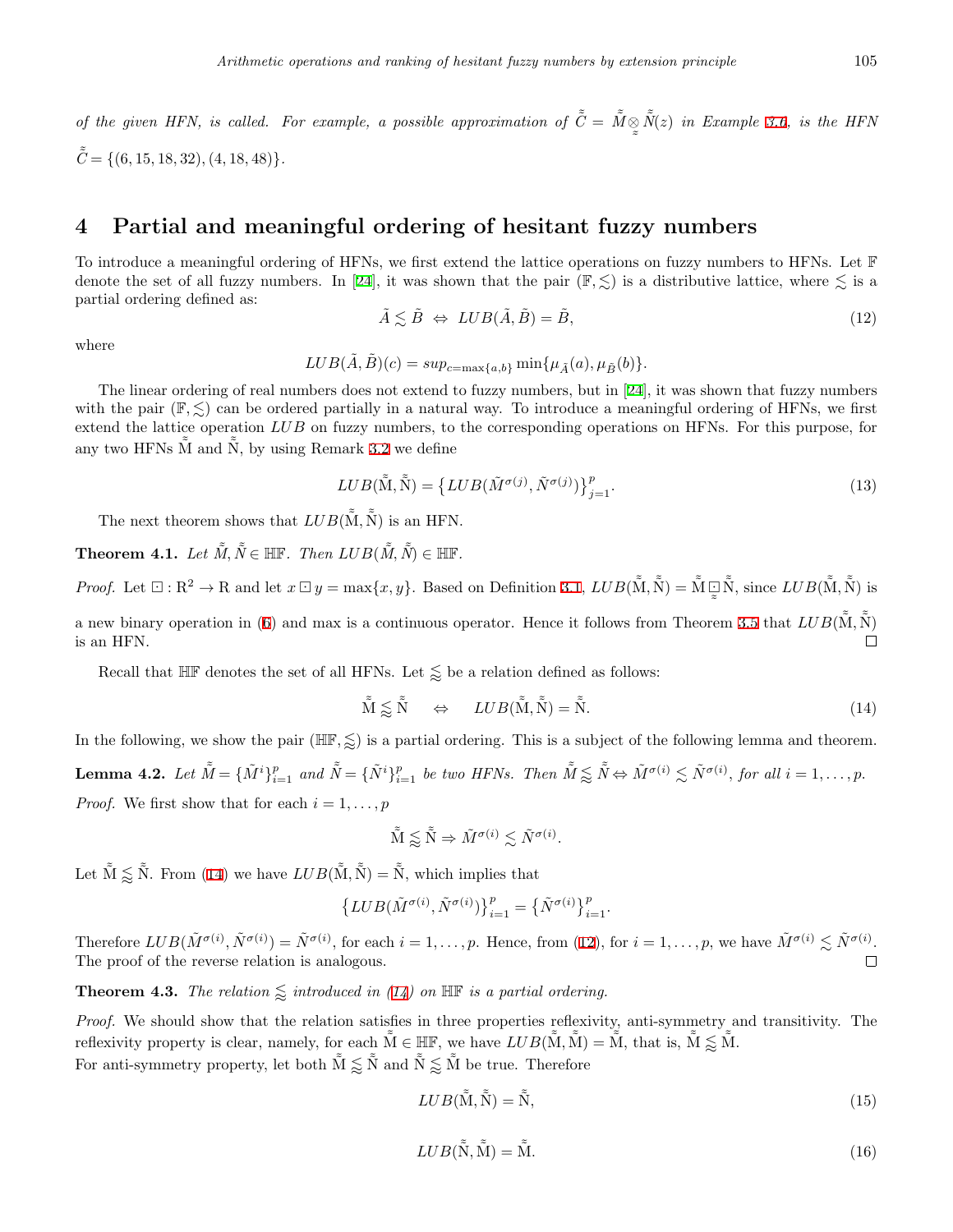*of the given HFN, is called. For example, a possible approximation of*  $\tilde{C} = \tilde{M} \otimes$  $\tilde{\phantom{a}}$  $\tilde{\tilde{N}}(z)$  *in Example [3.6](#page-6-2), is the HFN*  $\tilde{C} = \{(6, 15, 18, 32), (4, 18, 48)\}.$ 

# <span id="page-8-0"></span>**4 Partial and meaningful ordering of hesitant fuzzy numbers**

To introduce a meaningful ordering of HFNs, we first extend the lattice operations on fuzzy numbers to HFNs. Let F denote the set of all fuzzy numbers. In [[24\]](#page-16-20), it was shown that the pair  $(\mathbb{F}, \leq)$  is a distributive lattice, where  $\leq$  is a partial ordering defined as:

$$
\tilde{A} \lesssim \tilde{B} \iff LUB(\tilde{A}, \tilde{B}) = \tilde{B},\tag{12}
$$

where

<span id="page-8-2"></span> $LUB(\tilde{A}, \tilde{B})(c) = \sup_{c=\max\{a, b\}} \min\{\mu_{\tilde{A}}(a), \mu_{\tilde{B}}(b)\}.$ 

The linear ordering of real numbers does not extend to fuzzy numbers, but in [[24](#page-16-20)], it was shown that fuzzy numbers with the pair  $(\mathbb{F}, \leq)$  can be ordered partially in a natural way. To introduce a meaningful ordering of HFNs, we first extend the lattice operation *LUB* on fuzzy numbers, to the corresponding operations on HFNs. For this purpose, for any two HFNs  $\tilde{M}$  and  $\tilde{N}$ , by using Remark [3.2](#page-5-8) we define

$$
LUB(\tilde{\tilde{M}}, \tilde{\tilde{N}}) = \left\{ LUB(\tilde{M}^{\sigma(j)}, \tilde{N}^{\sigma(j)}) \right\}_{j=1}^{p}.
$$
\n(13)

<span id="page-8-3"></span>The next theorem shows that  $LUB(\tilde{\tilde{M}}, \tilde{\tilde{N}})$  is an HFN.

 $\textbf{Theorem 4.1.} \ \textit{Let} \ \tilde{\tilde{M}}, \tilde{\tilde{N}} \in \mathbb{HF}. \ \textit{Then} \ \textit{LUB}(\tilde{\tilde{M}}, \tilde{\tilde{N}}) \in \mathbb{HF}.$ 

*Proof.* Let  $\Xi : \mathbb{R}^2 \to \mathbb{R}$  and let  $x \boxdot y = \max\{x, y\}$ . Based on Definition [3.1,](#page-5-3)  $LUB(\tilde{M}, \tilde{\tilde{N}}) = \tilde{\tilde{M}} \boxdot \tilde{\tilde{N}}$  $\tilde{\tilde{N}}$ , since  $LUB(\tilde{\tilde{M}}, \tilde{\tilde{N}})$  is  $\approx$ a new binary operation in ([6\)](#page-5-1) and max is a continuous operator. Hence it follows from Theorem [3.5](#page-6-3) that  $LUB(\tilde{M}, \tilde{N})$ is an HFN.  $\Box$ 

Recall that  $\mathbb{HF}$  denotes the set of all HFNs. Let  $\lessapprox$  be a relation defined as follows:

<span id="page-8-1"></span>
$$
\tilde{\mathbf{M}} \lessapprox \tilde{\mathbf{N}} \qquad \Leftrightarrow \qquad LUB(\tilde{\mathbf{M}}, \tilde{\mathbf{N}}) = \tilde{\mathbf{N}}.\tag{14}
$$

<span id="page-8-6"></span>In the following, we show the pair  $(\mathbb{HF}, \leqslant)$  is a partial ordering. This is a subject of the following lemma and theorem. **Lemma 4.2.** Let  $\tilde{M} = {\{\tilde{M}^i\}}_{i=1}^p$  and  $\tilde{\tilde{N}} = {\{\tilde{N}^i\}}_{i=1}^p$  be two HFNs. Then  $\tilde{M} \lessapprox \tilde{\tilde{N}} \Leftrightarrow \tilde{M}^{\sigma(i)} \lesssim \tilde{N}^{\sigma(i)}$ , for all  $i = 1, \ldots, p$ . *Proof.* We first show that for each  $i = 1, \ldots, p$ 

$$
\tilde{\tilde{\mathbf{M}}} \lessapprox \tilde{\tilde{\mathbf{N}}} \Rightarrow \tilde{M}^{\sigma(i)} \lesssim \tilde{N}^{\sigma(i)}.
$$

Let  $\tilde{\tilde{M}} \lessapprox \tilde{\tilde{N}}$ . From ([14](#page-8-1)) we have  $LUB(\tilde{\tilde{M}}, \tilde{\tilde{N}}) = \tilde{\tilde{N}}$ , which implies that

$$
\{LUB(\tilde{M}^{\sigma(i)}, \tilde{N}^{\sigma(i)})\}_{i=1}^p = \{\tilde{N}^{\sigma(i)}\}_{i=1}^p.
$$

Therefore  $LUB(\tilde{M}^{\sigma(i)}, \tilde{N}^{\sigma(i)}) = \tilde{N}^{\sigma(i)}$ , for each  $i = 1, ..., p$ . Hence, from [\(12](#page-8-2)), for  $i = 1, ..., p$ , we have  $\tilde{M}^{\sigma(i)} \lesssim \tilde{N}^{\sigma(i)}$ . The proof of the reverse relation is analogous.  $\Box$ 

**Theorem 4.3.** *The relation*  $\leq$  *introduced in ([14\)](#page-8-1) on*  $\mathbb{H}$  *is a partial ordering.* 

<span id="page-8-5"></span>*Proof.* We should show that the relation satisfies in three properties reflexivity, anti-symmetry and transitivity. The reflexivity property is clear, namely, for each  $\tilde{M} \in \mathbb{HF}$ , we have  $LUB(\tilde{M}, \tilde{M}) = \tilde{M}$ , that is,  $\tilde{M} \lessapprox \tilde{M}$ . For anti-symmetry property, let both  $\tilde{M} \lessapprox \tilde{N}$  and  $\tilde{N} \lessapprox \tilde{M}$  be true. Therefore

<span id="page-8-4"></span>
$$
LUB(\tilde{\tilde{M}}, \tilde{\tilde{N}}) = \tilde{\tilde{N}},\tag{15}
$$

$$
LUB(\tilde{\tilde{N}}, \tilde{\tilde{M}}) = \tilde{\tilde{M}}.
$$
\n(16)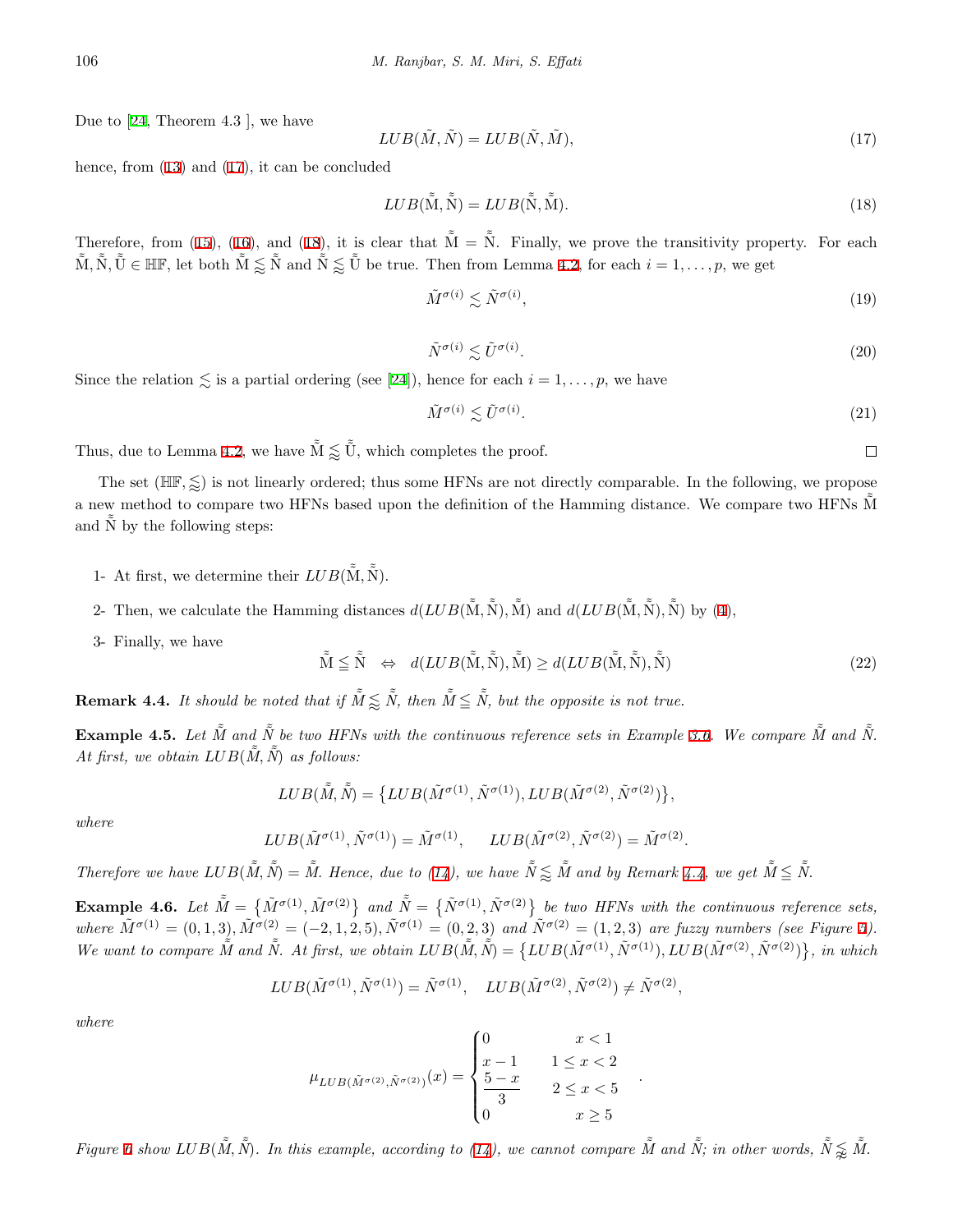Due to [[24,](#page-16-20) Theorem 4.3 ], we have

<span id="page-9-1"></span><span id="page-9-0"></span>
$$
LUB(\tilde{M}, \tilde{N}) = LUB(\tilde{N}, \tilde{M}),\tag{17}
$$

hence, from ([13](#page-8-3)) and [\(17](#page-9-0)), it can be concluded

$$
LUB(\tilde{\tilde{M}}, \tilde{\tilde{N}}) = LUB(\tilde{\tilde{N}}, \tilde{\tilde{M}}). \tag{18}
$$

Therefore, from ([15\)](#page-8-4), [\(16](#page-8-5)), and ([18\)](#page-9-1), it is clear that  $\tilde{M} = \tilde{N}$ . Finally, we prove the transitivity property. For each  $\tilde{M}, \tilde{N}, \tilde{U} \in \mathbb{HF}$ , let both  $\tilde{M} \lessapprox \tilde{N}$  and  $\tilde{N} \lessapprox \tilde{U}$  be true. Then from Lemma [4.2,](#page-8-6) for each  $i = 1, \ldots, p$ , we get

$$
\tilde{M}^{\sigma(i)} \lesssim \tilde{N}^{\sigma(i)},\tag{19}
$$

$$
\tilde{N}^{\sigma(i)} \lesssim \tilde{U}^{\sigma(i)}.\tag{20}
$$

Since the relation  $\lesssim$  is a partial ordering (see [[24\]](#page-16-20)), hence for each  $i = 1, \ldots, p$ , we have

$$
\tilde{M}^{\sigma(i)} \lesssim \tilde{U}^{\sigma(i)}.\tag{21}
$$

 $\Box$ 

Thus, due to Lemma [4.2](#page-8-6), we have  $\tilde{M} \lessapprox \tilde{\tilde{U}}$ , which completes the proof.

The set  $(HIF, \leq)$  is not linearly ordered; thus some HFNs are not directly comparable. In the following, we propose a new method to compare two HFNs based upon the definition of the Hamming distance. We compare two HFNs  $\tilde{M}$ and  $\tilde{N}$  by the following steps:

- 1- At first, we determine their  $LUB(\tilde{\tilde{M}}, \tilde{\tilde{N}})$ .
- 2- Then, we calculate the Hamming distances  $d(LUB(\tilde{\tilde{M}}, \tilde{\tilde{N}}), \tilde{\tilde{M}})$  and  $d(LUB(\tilde{\tilde{M}}, \tilde{\tilde{N}}), \tilde{\tilde{N}})$  by ([4\)](#page-5-9),
- 3- Finally, we have

<span id="page-9-4"></span>
$$
\tilde{\tilde{\mathbf{M}}} \leq \tilde{\tilde{\mathbf{N}}} \quad \Leftrightarrow \quad d(LUB(\tilde{\tilde{\mathbf{M}}}, \tilde{\tilde{\mathbf{N}}}), \tilde{\tilde{\mathbf{M}}}) \geq d(LUB(\tilde{\tilde{\mathbf{M}}}, \tilde{\tilde{\mathbf{N}}}), \tilde{\tilde{\mathbf{N}}}) \tag{22}
$$

*.*

<span id="page-9-2"></span>**Remark 4.4.** *It should be noted that if*  $\tilde{M} \lessapprox \tilde{N}$ *, then*  $\tilde{M} \leq \tilde{N}$ *, but the opposite is not true.* 

**Example 4.5.** *Let*  $\tilde{M}$  *and*  $\tilde{N}$  *be two HFNs with the continuous reference sets in Example [3.6](#page-6-2). We compare*  $\tilde{M}$  *and*  $\tilde{N}$ *. At first, we obtain*  $LUB(\tilde{\tilde{M}}, \tilde{\tilde{N}})$  *as follows:* 

$$
LUB(\tilde{\tilde{M}}, \tilde{\tilde{N}}) = \{LUB(\tilde{M}^{\sigma(1)}, \tilde{N}^{\sigma(1)}), LUB(\tilde{M}^{\sigma(2)}, \tilde{N}^{\sigma(2)})\},\
$$

*where*

$$
LUB(\tilde{M}^{\sigma(1)}, \tilde{N}^{\sigma(1)}) = \tilde{M}^{\sigma(1)}, \quad LUB(\tilde{M}^{\sigma(2)}, \tilde{N}^{\sigma(2)}) = \tilde{M}^{\sigma(2)}.
$$

Therefore we have  $LUB(\tilde{M}, \tilde{N}) = \tilde{M}$ . Hence, due to [\(14](#page-8-1)), we have  $\tilde{N} \lesssim \tilde{M}$  and by Remark [4.4](#page-9-2), we get  $\tilde{M} \leq \tilde{N}$ .

<span id="page-9-3"></span>**Example 4.6.** Let  $\tilde{\tilde{M}} = \{\tilde{M}^{\sigma(1)}, \tilde{M}^{\sigma(2)}\}$  and  $\tilde{\tilde{N}} = \{\tilde{N}^{\sigma(1)}, \tilde{N}^{\sigma(2)}\}$  be two HFNs with the continuous reference sets, where  $\tilde{M}^{\sigma(1)} = (0,1,3), \tilde{M}^{\sigma(2)} = (-2,1,2,5), \tilde{N}^{\sigma(1)} = (0,2,3)$  $\tilde{M}^{\sigma(1)} = (0,1,3), \tilde{M}^{\sigma(2)} = (-2,1,2,5), \tilde{N}^{\sigma(1)} = (0,2,3)$  $\tilde{M}^{\sigma(1)} = (0,1,3), \tilde{M}^{\sigma(2)} = (-2,1,2,5), \tilde{N}^{\sigma(1)} = (0,2,3)$  and  $\tilde{N}^{\sigma(2)} = (1,2,3)$  are fuzzy numbers (see Figure 5). We want to compare  $\tilde{M}$  and  $\tilde{N}$ . At first, we obtain  $LUB(\tilde{M}, \tilde{\tilde{N}}) = \{LUB(\tilde{M}^{\sigma(1)}, \tilde{N}^{\sigma(1)}), LUB(\tilde{M}^{\sigma(2)}, \tilde{N}^{\sigma(2)})\},\$ in which

$$
LUB(\tilde{M}^{\sigma(1)},\tilde{N}^{\sigma(1)})=\tilde{N}^{\sigma(1)},\quad LUB(\tilde{M}^{\sigma(2)},\tilde{N}^{\sigma(2)})\neq \tilde{N}^{\sigma(2)},
$$

*where*

$$
\mu_{LUB(\tilde{M}^{\sigma(2)}, \tilde{N}^{\sigma(2)})}(x) = \begin{cases} 0 & x < 1 \\ x - 1 & 1 \le x < 2 \\ \frac{5 - x}{3} & 2 \le x < 5 \\ 0 & x \ge 5 \end{cases}
$$

*Figure* [6](#page-10-2) show  $LUB(\tilde{\tilde{M}}, \tilde{\tilde{N}})$ . In this example, according to ([14](#page-8-1)), we cannot compare  $\tilde{\tilde{M}}$  and  $\tilde{\tilde{N}}$ ; in other words,  $\tilde{\tilde{N}} \lessapprox_{\tilde{M}} \tilde{\tilde{M}}$ .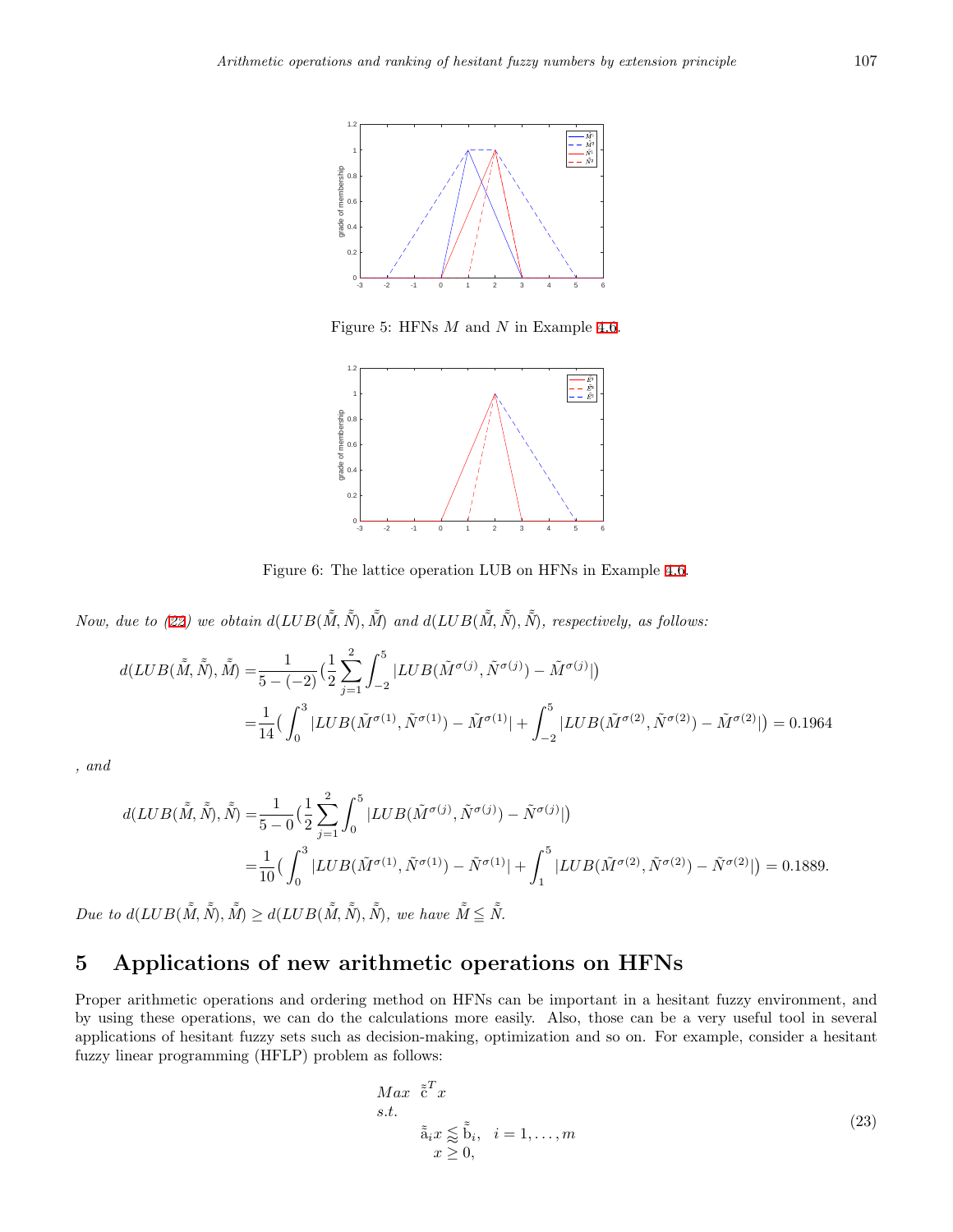

<span id="page-10-1"></span>Figure 5: HFNs *M* and *N* in Example [4.6.](#page-9-3)



<span id="page-10-2"></span>Figure 6: The lattice operation LUB on HFNs in Example [4.6](#page-9-3).

Now, due to ([22\)](#page-9-4) we obtain  $d(LUB(\tilde{M}, \tilde{\tilde{N}}), \tilde{\tilde{M}})$  and  $d(LUB(\tilde{M}, \tilde{\tilde{N}}), \tilde{\tilde{N}})$ , respectively, as follows:

$$
d(LUB(\tilde{M}, \tilde{\tilde{N}}), \tilde{\tilde{M}}) = \frac{1}{5 - (-2)} \left( \frac{1}{2} \sum_{j=1}^{2} \int_{-2}^{5} |LUB(\tilde{M}^{\sigma(j)}, \tilde{N}^{\sigma(j)}) - \tilde{M}^{\sigma(j)}| \right)
$$
  
= 
$$
\frac{1}{14} \left( \int_{0}^{3} |LUB(\tilde{M}^{\sigma(1)}, \tilde{N}^{\sigma(1)}) - \tilde{M}^{\sigma(1)}| + \int_{-2}^{5} |LUB(\tilde{M}^{\sigma(2)}, \tilde{N}^{\sigma(2)}) - \tilde{M}^{\sigma(2)}| \right) = 0.1964
$$

*, and*

$$
d(LUB(\tilde{\tilde{M}}, \tilde{\tilde{N}}), \tilde{\tilde{N}}) = \frac{1}{5-0} \left( \frac{1}{2} \sum_{j=1}^{2} \int_{0}^{5} |LUB(\tilde{M}^{\sigma(j)}, \tilde{N}^{\sigma(j)}) - \tilde{N}^{\sigma(j)}| \right)
$$
  
= 
$$
\frac{1}{10} \left( \int_{0}^{3} |LUB(\tilde{M}^{\sigma(1)}, \tilde{N}^{\sigma(1)}) - \tilde{N}^{\sigma(1)}| + \int_{1}^{5} |LUB(\tilde{M}^{\sigma(2)}, \tilde{N}^{\sigma(2)}) - \tilde{N}^{\sigma(2)}| \right) = 0.1889.
$$

 $Due to d(LUB(\tilde{\tilde{M}}, \tilde{\tilde{N}}), \tilde{\tilde{M}}) \geq d(LUB(\tilde{\tilde{M}}, \tilde{\tilde{N}}), \tilde{\tilde{N}}),$  we have  $\tilde{\tilde{M}} \leq \tilde{\tilde{N}}.$ 

# <span id="page-10-0"></span>**5 Applications of new arithmetic operations on HFNs**

Proper arithmetic operations and ordering method on HFNs can be important in a hesitant fuzzy environment, and by using these operations, we can do the calculations more easily. Also, those can be a very useful tool in several applications of hesitant fuzzy sets such as decision-making, optimization and so on. For example, consider a hesitant fuzzy linear programming (HFLP) problem as follows:

$$
Max \tilde{e}^{T} x
$$
  
s.t.  

$$
\tilde{a}_{i} x \leq \tilde{b}_{i}, \quad i = 1, ..., m
$$
  

$$
x \geq 0,
$$
 (23)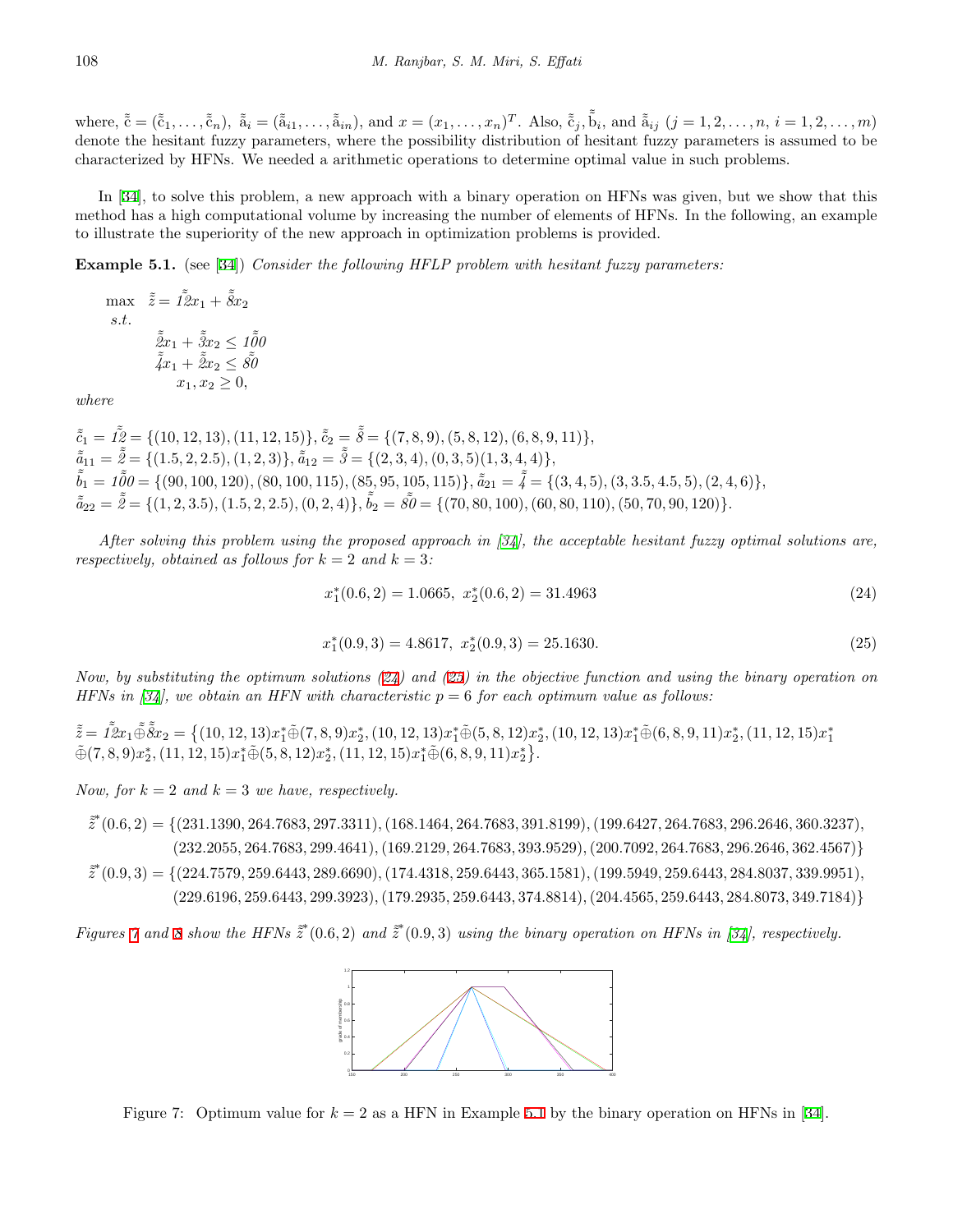where,  $\tilde{\tilde{c}} = (\tilde{\tilde{c}}_1, \ldots, \tilde{\tilde{c}}_n)$ ,  $\tilde{\tilde{a}}_i = (\tilde{\tilde{a}}_{i1}, \ldots, \tilde{\tilde{a}}_{in})$ , and  $x = (x_1, \ldots, x_n)^T$ . Also,  $\tilde{\tilde{c}}_j$ ,  $\tilde{\tilde{b}}_i$ , and  $\tilde{\tilde{a}}_{ij}$   $(j = 1, 2, \ldots, n, i = 1, 2, \ldots, m)$ denote the hesitant fuzzy parameters, where the possibility distribution of hesitant fuzzy parameters is assumed to be characterized by HFNs. We needed a arithmetic operations to determine optimal value in such problems.

In [[34\]](#page-16-0), to solve this problem, a new approach with a binary operation on HFNs was given, but we show that this method has a high computational volume by increasing the number of elements of HFNs. In the following, an example to illustrate the superiority of the new approach in optimization problems is provided.

<span id="page-11-3"></span>**Example 5.1.** (see [\[34](#page-16-0)]) *Consider the following HFLP problem with hesitant fuzzy parameters:*

 $\max \ \tilde{\tilde{z}} = \tilde{I} \tilde{\tilde{z}} x_1 + \tilde{\tilde{\delta}} x_2$ *s.t.*  $\tilde{z}_{x_1} + \tilde{z}_{x_2} \leq t \tilde{\tilde{\theta}}$ 0  $\tilde{z}_{x_1} + \tilde{z}_{x_2} \leq \tilde{s}0$  $x_1, x_2 \geq 0$ 

*where*

 $\tilde{\tilde{c}}_1 = \tilde{I2} = \{ (10, 12, 13), (11, 12, 15) \}, \tilde{\tilde{c}}_2 = \tilde{\tilde{\delta}} = \{ (7, 8, 9), (5, 8, 12), (6, 8, 9, 11) \},\$  $\tilde{a}_{11} = \tilde{\tilde{z}} = \{ (1.5, 2, 2.5), (1, 2, 3) \}, \tilde{a}_{12} = \tilde{\tilde{s}} = \{ (2, 3, 4), (0, 3, 5), (1, 3, 4, 4) \},\$  $\tilde{b}_1 = 1\tilde{0}0 = \{(90, 100, 120), (80, 100, 115), (85, 95, 105, 115)\}, \tilde{a}_{21} = \tilde{4} = \{(3, 4, 5), (3, 3.5, 4.5, 5), (2, 4, 6)\},\$  $\tilde{a}_{22} = \tilde{\tilde{z}} = \{ (1, 2, 3.5), (1.5, 2, 2.5), (0, 2, 4) \}, \tilde{b}_2 = \tilde{\tilde{z}}_0 = \{ (70, 80, 100), (60, 80, 110), (50, 70, 90, 120) \}.$ 

*After solving this problem using the proposed approach in [[34](#page-16-0)], the acceptable hesitant fuzzy optimal solutions are, respectively, obtained as follows for*  $k = 2$  *and*  $k = 3$ *:* 

<span id="page-11-0"></span>
$$
x_1^*(0.6, 2) = 1.0665, \ x_2^*(0.6, 2) = 31.4963 \tag{24}
$$

<span id="page-11-1"></span>
$$
x_1^*(0.9,3) = 4.8617, \ x_2^*(0.9,3) = 25.1630. \tag{25}
$$

*Now, by substituting the optimum solutions ([24](#page-11-0)) and ([25\)](#page-11-1) in the objective function and using the binary operation on HFNs in [\[34\]](#page-16-0), we obtain an HFN with characteristic p* = 6 *for each optimum value as follows:*

 $\tilde{\tilde{z}} = I \tilde{\tilde{z}} x_1 \tilde{\oplus} \tilde{\tilde{s}} x_2 = \{ (10, 12, 13) x_1^* \tilde{\oplus} (7, 8, 9) x_2^*, (10, 12, 13) x_1^* \tilde{\oplus} (5, 8, 12) x_2^*, (10, 12, 13) x_1^* \tilde{\oplus} (6, 8, 9, 11) x_2^*, (11, 12, 15) x_1^* \tilde{\oplus} (7, 8, 9) x_2^*, (11, 12, 15) x_1^* \til$ 

*Now, for*  $k = 2$  *and*  $k = 3$  *we have, respectively.* 

- $\tilde{z}^*(0.6, 2) = \{(231.1390, 264.7683, 297.3311), (168.1464, 264.7683, 391.8199), (199.6427, 264.7683, 296.2646, 360.3237),$  $(232.2055, 264.7683, 299.4641), (169.2129, 264.7683, 393.9529), (200.7092, 264.7683, 296.2646, 362.4567)$
- $\tilde{z}^*(0.9,3) = \{(224.7579, 259.6443, 289.6690), (174.4318, 259.6443, 365.1581), (199.5949, 259.6443, 284.8037, 339.9951),$  $(229.6196, 259.6443, 299.3923), (179.2935, 259.6443, 374.8814), (204.4565, 259.6443, 284.8073, 349.7184)$

Figures [7](#page-11-2) and [8](#page-12-0) show the HFNs  $\tilde{z}^*(0.6, 2)$  and  $\tilde{z}^*(0.9, 3)$  using the binary operation on HFNs in [[34\]](#page-16-0), respectively.



<span id="page-11-2"></span>Figure 7: Optimum value for  $k = 2$  as a HFN in Example [5.1](#page-11-3) by the binary operation on HFNs in [\[34](#page-16-0)].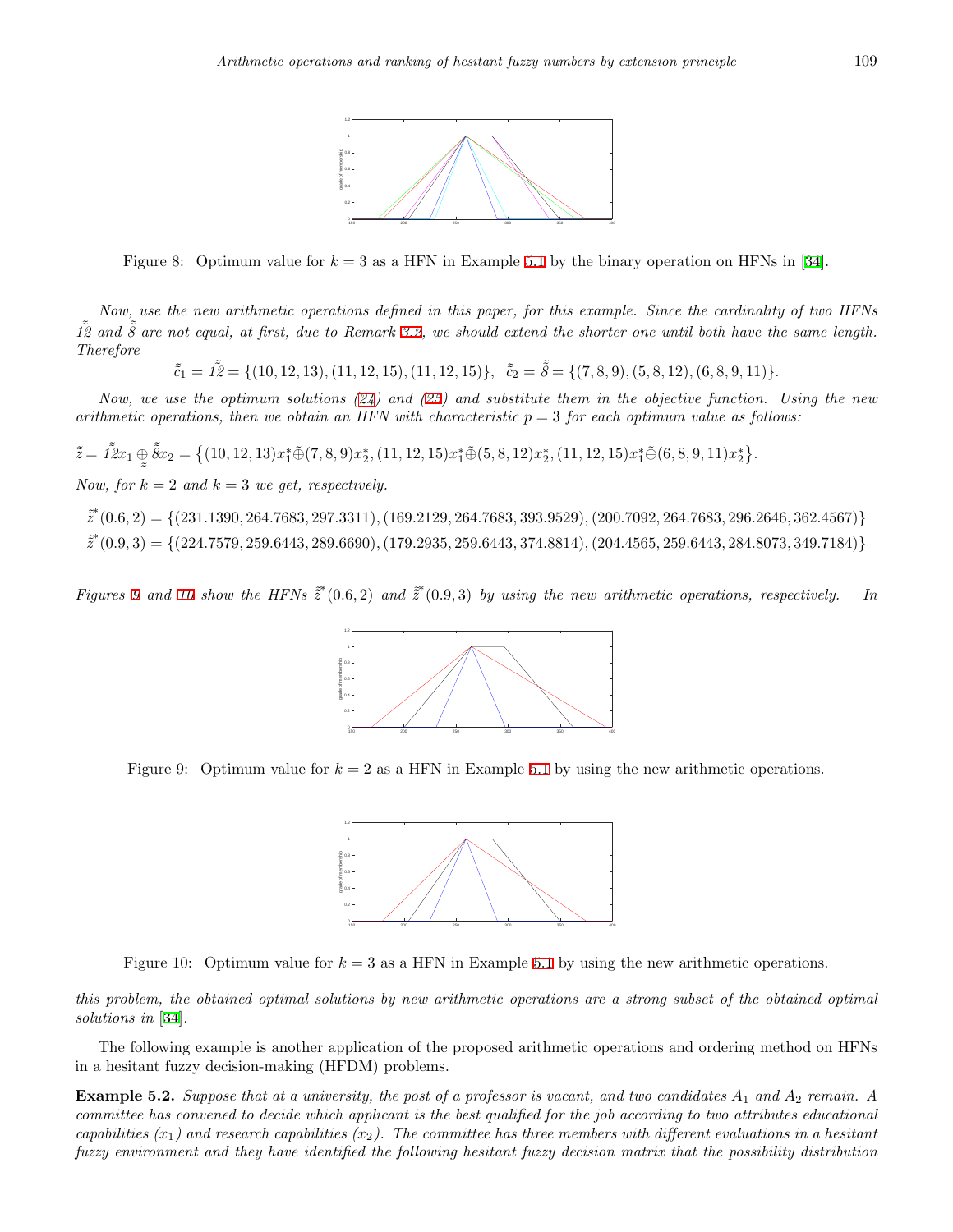

<span id="page-12-0"></span>Figure 8: Optimum value for  $k = 3$  as a HFN in Example [5.1](#page-11-3) by the binary operation on HFNs in [\[34](#page-16-0)].

*Now, use the new arithmetic operations defined in this paper, for this example. Since the cardinality of two HFNs*  $\tilde{12}$  and  $\tilde{8}$  are not equal, at first, due to Remark [3.2,](#page-5-8) we should extend the shorter one until both have the same length. *Therefore*

 $\tilde{c}_1 = I\tilde{Z} = \{(10, 12, 13), (11, 12, 15), (11, 12, 15)\}, \quad \tilde{c}_2 = \tilde{\delta} = \{(7, 8, 9), (5, 8, 12), (6, 8, 9, 11)\}.$ 

*Now, we use the optimum solutions [\(24\)](#page-11-0) and [\(25\)](#page-11-1) and substitute them in the objective function. Using the new arithmetic operations, then we obtain an HFN with characteristic*  $p = 3$  *for each optimum value as follows:* 

 $\tilde{\tilde{z}} = \tilde{I \tilde{z}} x_1 \oplus \tilde{\tilde{s}} x_2 = \big\{ (10, 12, 13) x_1^* \tilde{\oplus} (7, 8, 9) x_2^*, (11, 12, 15) x_1^* \tilde{\oplus} (5, 8, 12) x_2^*, (11, 12, 15) x_1^* \tilde{\oplus} (6, 8, 9, 11) x_2^* \big\}.$  $\tilde{\phantom{a}}$ *Now, for*  $k = 2$  *and*  $k = 3$  *we get, respectively.* 

 $\tilde{z}^*(0.6, 2) = \{(231.1390, 264.7683, 297.3311), (169.2129, 264.7683, 393.9529), (200.7092, 264.7683, 296.2646, 362.4567)\}$  $\tilde{z}^*(0.9,3) = \{(224.7579, 259.6443, 289.6690), (179.2935, 259.6443, 374.8814), (204.4565, 259.6443, 284.8073, 349.7184)\}$ 

Figures [9](#page-12-1) and [10](#page-12-2) show the HFNs  $\tilde{z}^*(0.6,2)$  and  $\tilde{z}^*(0.9,3)$  by using the new arithmetic operations, respectively. In



<span id="page-12-1"></span>Figure 9: Optimum value for  $k = 2$  as a HFN in Example [5.1](#page-11-3) by using the new arithmetic operations.



<span id="page-12-2"></span>Figure 10: Optimum value for *k* = 3 as a HFN in Example [5.1](#page-11-3) by using the new arithmetic operations.

*this problem, the obtained optimal solutions by new arithmetic operations are a strong subset of the obtained optimal solutions in* [[34\]](#page-16-0)*.*

The following example is another application of the proposed arithmetic operations and ordering method on HFNs in a hesitant fuzzy decision-making (HFDM) problems.

<span id="page-12-3"></span>**Example 5.2.** *Suppose that at a university, the post of a professor is vacant, and two candidates A*<sup>1</sup> *and A*<sup>2</sup> *remain. A committee has convened to decide which applicant is the best qualified for the job according to two attributes educational capabilities*  $(x_1)$  and research capabilities  $(x_2)$ . The committee has three members with different evaluations in a hesitant *fuzzy environment and they have identified the following hesitant fuzzy decision matrix that the possibility distribution*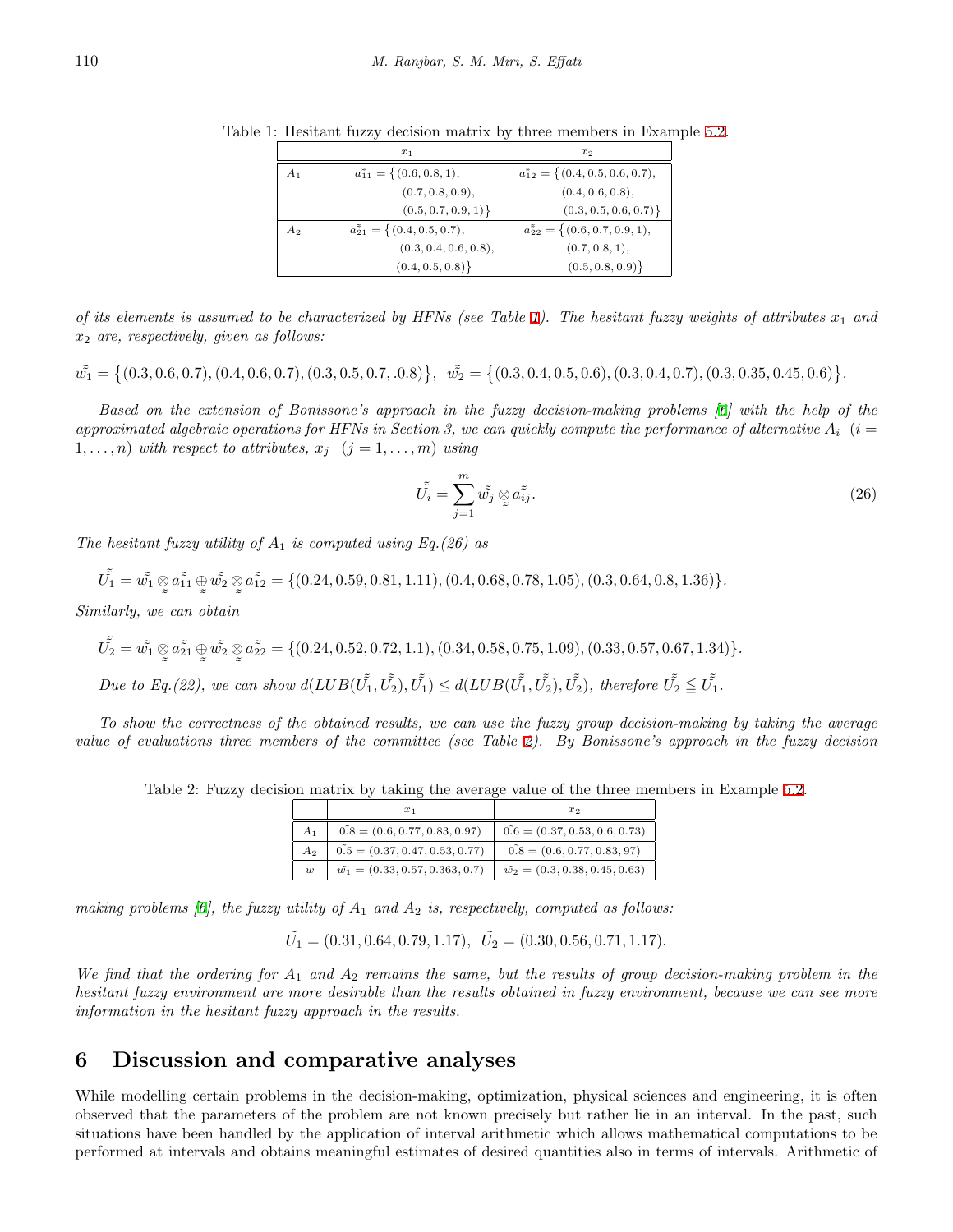<span id="page-13-1"></span>

|       | $x_1$                                       | $x_2$                                          |
|-------|---------------------------------------------|------------------------------------------------|
| $A_1$ | $a_{11}^* = \{(0.6, 0.8, 1),\}$             | $a_{12}^* = \{(0.4, 0.5, 0.6, 0.7),\}$         |
|       | (0.7, 0.8, 0.9),                            | (0.4, 0.6, 0.8),                               |
|       | (0.5, 0.7, 0.9, 1)                          | $(0.3, 0.5, 0.6, 0.7)\}$                       |
| $A_2$ | $a_{21}^{\tilde{z}} = \{(0.4, 0.5, 0.7),\}$ | $a_{22}^{\tilde{z}} = \{(0.6, 0.7, 0.9, 1),\}$ |
|       | (0.3, 0.4, 0.6, 0.8),                       | (0.7, 0.8, 1),                                 |
|       | (0.4, 0.5, 0.8)                             | (0.5, 0.8, 0.9)                                |

Table 1: Hesitant fuzzy decision matrix by three members in Example [5.2](#page-12-3).

*of its elements is assumed to be characterized by HFNs (see Table [1](#page-13-1)). The hesitant fuzzy weights of attributes*  $x_1$  and *x*<sup>2</sup> *are, respectively, given as follows:*

 $\tilde{w_1} = \{(0.3, 0.6, 0.7), (0.4, 0.6, 0.7), (0.3, 0.5, 0.7, 0.8)\}, \quad \tilde{w_2} = \{(0.3, 0.4, 0.5, 0.6), (0.3, 0.4, 0.7), (0.3, 0.35, 0.45, 0.6)\}.$ 

*Based on the extension of Bonissone's approach in the fuzzy decision-making problems [[6\]](#page-15-13) with the help of the* approximated algebraic operations for HFNs in Section 3, we can quickly compute the performance of alternative  $A_i$  (*i* = 1,...,*n*) with respect to attributes,  $x_j$  ( $j = 1, \ldots, m$ ) using

$$
\tilde{\tilde{U}_i} = \sum_{j=1}^m \tilde{w_j} \otimes a_{ij} \tilde{\tilde{X}_j}.
$$
\n(26)

*The hesitant fuzzy utility of A*<sup>1</sup> *is computed using Eq.(26) as*

 $\tilde{\tilde{U_1}} = \tilde{\tilde{w_1}} \otimes$  $a_{11}^z \oplus$  $\tilde{\tilde{w_2}} \otimes$  $\tilde{\phantom{a}}$  $a_{12}^* = \{(0.24, 0.59, 0.81, 1.11), (0.4, 0.68, 0.78, 1.05), (0.3, 0.64, 0.8, 1.36)\}.$ 

 $\tilde{\phantom{a}}$  $\tilde{\phantom{a}}$ *Similarly, we can obtain*

$$
\tilde{\tilde{U_2}} = \tilde{w_1} \otimes \tilde{a_{21}} \oplus \tilde{w_2} \otimes \tilde{a_{22}} = \{ (0.24, 0.52, 0.72, 1.1), (0.34, 0.58, 0.75, 1.09), (0.33, 0.57, 0.67, 1.34) \}.
$$

Due to Eq.(22), we can show  $d(LUB(\tilde{U_1}, \tilde{U_2}), \tilde{U_1}) \leq d(LUB(\tilde{U_1}, \tilde{U_2}), \tilde{U_2})$ , therefore  $\tilde{U_2} \leq \tilde{U_1}$ .

*To show the correctness of the obtained results, we can use the fuzzy group decision-making by taking the average value of evaluations three members of the committee (see Table [2\)](#page-13-2). By Bonissone's approach in the fuzzy decision*

<span id="page-13-2"></span>Table 2: Fuzzy decision matrix by taking the average value of the three members in Example [5.2](#page-12-3).

|                  | $x_1$                                    | $x_2$                                   |
|------------------|------------------------------------------|-----------------------------------------|
| $A_{1}$          | $0.8 = (0.6, 0.77, 0.83, 0.97)$          | $0.6 = (0.37, 0.53, 0.6, 0.73)$         |
| A <sub>2</sub>   | $0.5 = (0.37, 0.47, 0.53, 0.77)$         | $0.8 = (0.6, 0.77, 0.83, 97)$           |
| $\boldsymbol{w}$ | $\tilde{w_1} = (0.33, 0.57, 0.363, 0.7)$ | $\tilde{w_2} = (0.3, 0.38, 0.45, 0.63)$ |

*making problems [\[6](#page-15-13)], the fuzzy utility of A*<sup>1</sup> *and A*<sup>2</sup> *is, respectively, computed as follows:*

$$
\tilde{U}_1 = (0.31, 0.64, 0.79, 1.17), \quad \tilde{U}_2 = (0.30, 0.56, 0.71, 1.17).
$$

*We find that the ordering for A*<sup>1</sup> *and A*<sup>2</sup> *remains the same, but the results of group decision-making problem in the hesitant fuzzy environment are more desirable than the results obtained in fuzzy environment, because we can see more information in the hesitant fuzzy approach in the results.*

### <span id="page-13-0"></span>**6 Discussion and comparative analyses**

While modelling certain problems in the decision-making, optimization, physical sciences and engineering, it is often observed that the parameters of the problem are not known precisely but rather lie in an interval. In the past, such situations have been handled by the application of interval arithmetic which allows mathematical computations to be performed at intervals and obtains meaningful estimates of desired quantities also in terms of intervals. Arithmetic of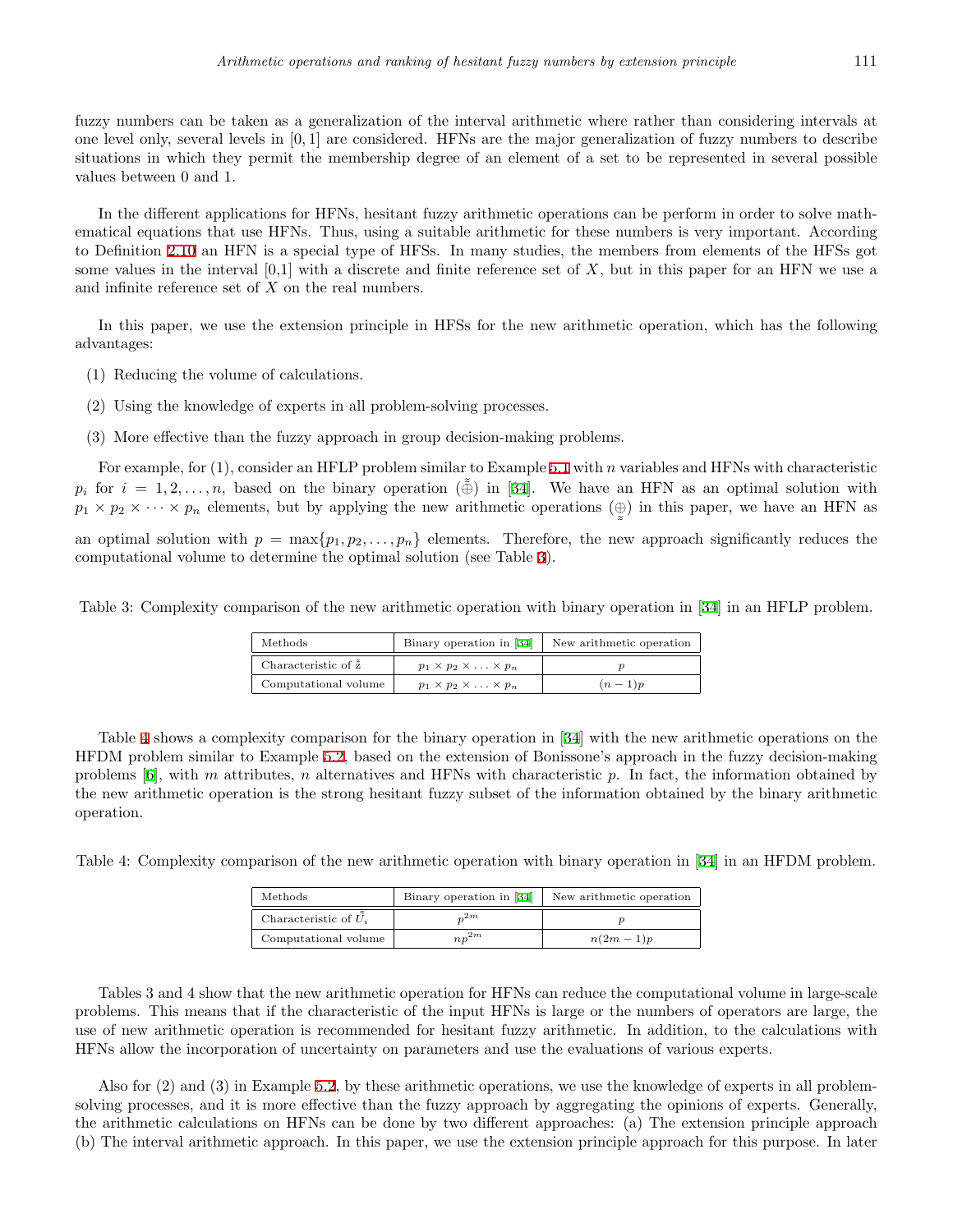fuzzy numbers can be taken as a generalization of the interval arithmetic where rather than considering intervals at one level only, several levels in [0*,* 1] are considered. HFNs are the major generalization of fuzzy numbers to describe situations in which they permit the membership degree of an element of a set to be represented in several possible values between 0 and 1.

In the different applications for HFNs, hesitant fuzzy arithmetic operations can be perform in order to solve mathematical equations that use HFNs. Thus, using a suitable arithmetic for these numbers is very important. According to Definition [2.10](#page-3-2) an HFN is a special type of HFSs. In many studies, the members from elements of the HFSs got some values in the interval [0,1] with a discrete and finite reference set of *X*, but in this paper for an HFN we use a and infinite reference set of *X* on the real numbers.

In this paper, we use the extension principle in HFSs for the new arithmetic operation, which has the following advantages:

- (1) Reducing the volume of calculations.
- (2) Using the knowledge of experts in all problem-solving processes.
- (3) More effective than the fuzzy approach in group decision-making problems.

For example, for (1), consider an HFLP problem similar to Example [5.1](#page-11-3) with *n* variables and HFNs with characteristic *p<sub>i</sub>* for  $i = 1, 2, \ldots, n$ , based on the binary operation ( $\tilde{\oplus}$ ) in [[34\]](#page-16-0). We have an HFN as an optimal solution with  $p_1 \times p_2 \times \cdots \times p_n$  elements, but by applying the new arithmetic operations  $(\oplus)$  in this paper, we have an HFN as  $\approx$ 

an optimal solution with  $p = \max\{p_1, p_2, \ldots, p_n\}$  elements. Therefore, the new approach significantly reduces the computational volume to determine the optimal solution (see Table [3\)](#page-14-0).

<span id="page-14-0"></span>Table 3: Complexity comparison of the new arithmetic operation with binary operation in [[34](#page-16-0)] in an HFLP problem.

| Methods                       | Binary operation in [34]                  | New arithmetic operation |
|-------------------------------|-------------------------------------------|--------------------------|
| Characteristic of $\tilde{z}$ | $p_1 \times p_2 \times \ldots \times p_n$ |                          |
| Computational volume          | $p_1 \times p_2 \times \ldots \times p_n$ | $(n-1)p$                 |

Table [4](#page-14-1) shows a complexity comparison for the binary operation in [[34\]](#page-16-0) with the new arithmetic operations on the HFDM problem similar to Example [5.2](#page-12-3), based on the extension of Bonissone's approach in the fuzzy decision-making problems [\[6](#page-15-13)], with *m* attributes, *n* alternatives and HFNs with characteristic *p*. In fact, the information obtained by the new arithmetic operation is the strong hesitant fuzzy subset of the information obtained by the binary arithmetic operation.

<span id="page-14-1"></span>Table 4: Complexity comparison of the new arithmetic operation with binary operation in [[34](#page-16-0)] in an HFDM problem.

| Methods                 | Binary operation in [34] | New arithmetic operation |
|-------------------------|--------------------------|--------------------------|
| Characteristic of $U_i$ | $_{.2m}$                 |                          |
| Computational volume    | $n p^{2m}$               | $n(2m-1)p$               |

Tables 3 and 4 show that the new arithmetic operation for HFNs can reduce the computational volume in large-scale problems. This means that if the characteristic of the input HFNs is large or the numbers of operators are large, the use of new arithmetic operation is recommended for hesitant fuzzy arithmetic. In addition, to the calculations with HFNs allow the incorporation of uncertainty on parameters and use the evaluations of various experts.

Also for (2) and (3) in Example [5.2,](#page-12-3) by these arithmetic operations, we use the knowledge of experts in all problemsolving processes, and it is more effective than the fuzzy approach by aggregating the opinions of experts. Generally, the arithmetic calculations on HFNs can be done by two different approaches: (a) The extension principle approach (b) The interval arithmetic approach. In this paper, we use the extension principle approach for this purpose. In later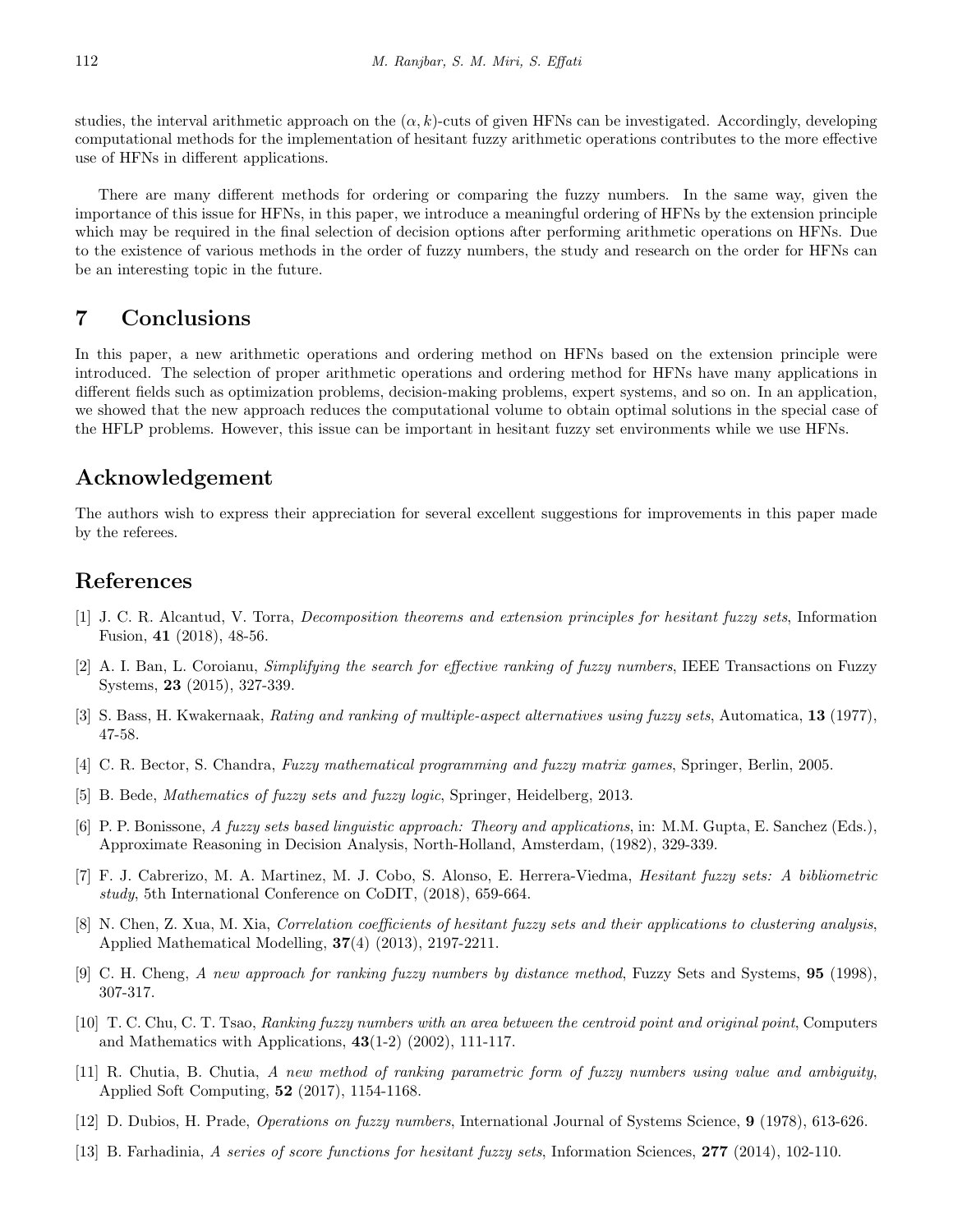studies, the interval arithmetic approach on the  $(\alpha, k)$ -cuts of given HFNs can be investigated. Accordingly, developing computational methods for the implementation of hesitant fuzzy arithmetic operations contributes to the more effective use of HFNs in different applications.

There are many different methods for ordering or comparing the fuzzy numbers. In the same way, given the importance of this issue for HFNs, in this paper, we introduce a meaningful ordering of HFNs by the extension principle which may be required in the final selection of decision options after performing arithmetic operations on HFNs. Due to the existence of various methods in the order of fuzzy numbers, the study and research on the order for HFNs can be an interesting topic in the future.

# <span id="page-15-10"></span>**7 Conclusions**

In this paper, a new arithmetic operations and ordering method on HFNs based on the extension principle were introduced. The selection of proper arithmetic operations and ordering method for HFNs have many applications in different fields such as optimization problems, decision-making problems, expert systems, and so on. In an application, we showed that the new approach reduces the computational volume to obtain optimal solutions in the special case of the HFLP problems. However, this issue can be important in hesitant fuzzy set environments while we use HFNs.

### **Acknowledgement**

The authors wish to express their appreciation for several excellent suggestions for improvements in this paper made by the referees.

# **References**

- <span id="page-15-6"></span>[1] J. C. R. Alcantud, V. Torra, *Decomposition theorems and extension principles for hesitant fuzzy sets*, Information Fusion, **41** (2018), 48-56.
- <span id="page-15-4"></span>[2] A. I. Ban, L. Coroianu, *Simplifying the search for effective ranking of fuzzy numbers*, IEEE Transactions on Fuzzy Systems, **23** (2015), 327-339.
- <span id="page-15-1"></span>[3] S. Bass, H. Kwakernaak, *Rating and ranking of multiple-aspect alternatives using fuzzy sets*, Automatica, **13** (1977), 47-58.
- <span id="page-15-11"></span>[4] C. R. Bector, S. Chandra, *Fuzzy mathematical programming and fuzzy matrix games*, Springer, Berlin, 2005.
- <span id="page-15-12"></span>[5] B. Bede, *Mathematics of fuzzy sets and fuzzy logic*, Springer, Heidelberg, 2013.
- <span id="page-15-13"></span>[6] P. P. Bonissone, *A fuzzy sets based linguistic approach: Theory and applications*, in: M.M. Gupta, E. Sanchez (Eds.), Approximate Reasoning in Decision Analysis, North-Holland, Amsterdam, (1982), 329-339.
- <span id="page-15-7"></span>[7] F. J. Cabrerizo, M. A. Martinez, M. J. Cobo, S. Alonso, E. Herrera-Viedma, *Hesitant fuzzy sets: A bibliometric study*, 5th International Conference on CoDIT, (2018), 659-664.
- <span id="page-15-8"></span>[8] N. Chen, Z. Xua, M. Xia, *Correlation coefficients of hesitant fuzzy sets and their applications to clustering analysis*, Applied Mathematical Modelling, **37**(4) (2013), 2197-2211.
- <span id="page-15-2"></span>[9] C. H. Cheng, *A new approach for ranking fuzzy numbers by distance method*, Fuzzy Sets and Systems, **95** (1998), 307-317.
- <span id="page-15-3"></span>[10] T. C. Chu, C. T. Tsao, *Ranking fuzzy numbers with an area between the centroid point and original point*, Computers and Mathematics with Applications, **43**(1-2) (2002), 111-117.
- <span id="page-15-5"></span>[11] R. Chutia, B. Chutia, *A new method of ranking parametric form of fuzzy numbers using value and ambiguity*, Applied Soft Computing, **52** (2017), 1154-1168.
- <span id="page-15-0"></span>[12] D. Dubios, H. Prade, *Operations on fuzzy numbers*, International Journal of Systems Science, **9** (1978), 613-626.
- <span id="page-15-9"></span>[13] B. Farhadinia, *A series of score functions for hesitant fuzzy sets*, Information Sciences, **277** (2014), 102-110.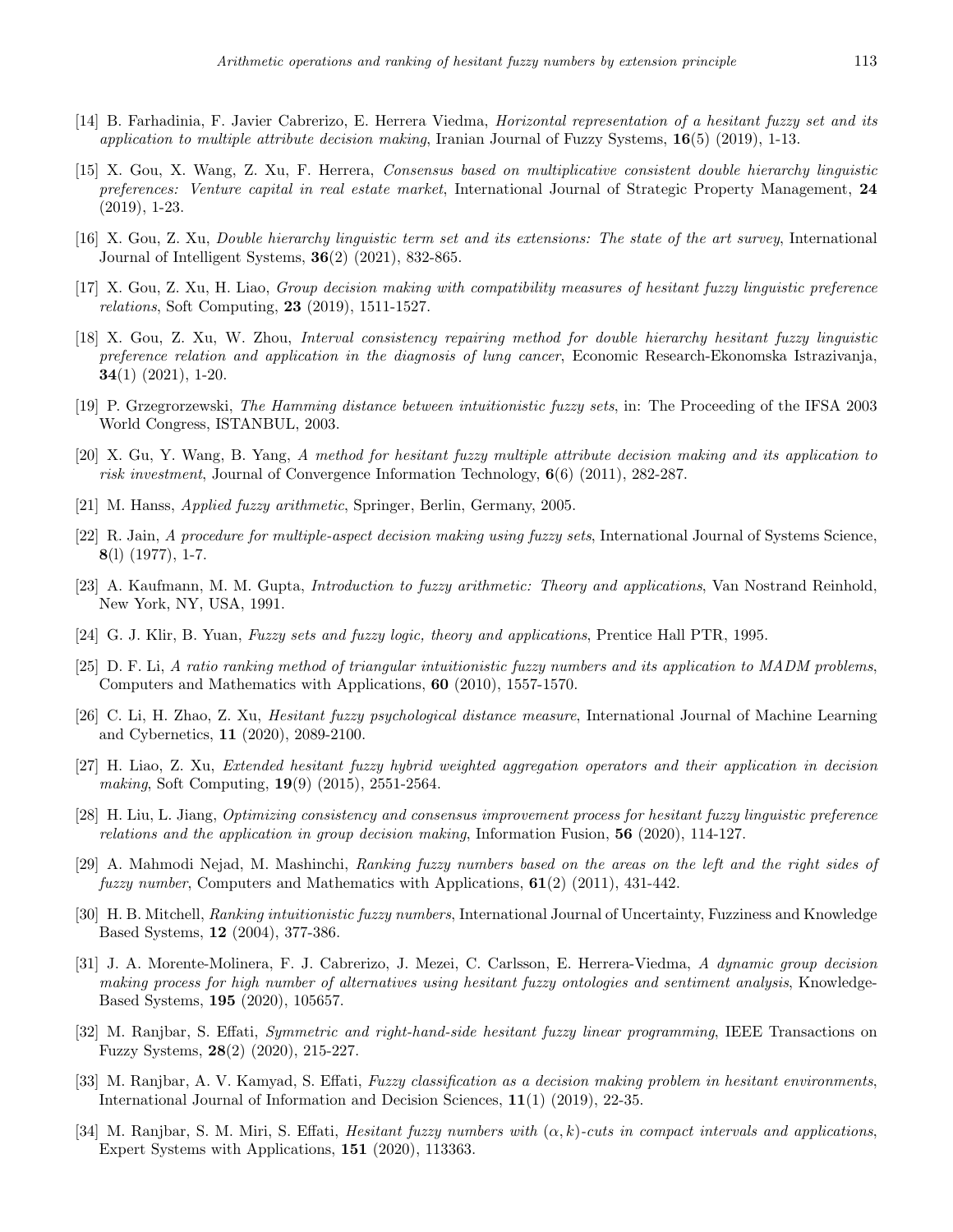- <span id="page-16-8"></span>[14] B. Farhadinia, F. Javier Cabrerizo, E. Herrera Viedma, *Horizontal representation of a hesitant fuzzy set and its application to multiple attribute decision making*, Iranian Journal of Fuzzy Systems, **16**(5) (2019), 1-13.
- <span id="page-16-9"></span>[15] X. Gou, X. Wang, Z. Xu, F. Herrera, *Consensus based on multiplicative consistent double hierarchy linguistic preferences: Venture capital in real estate market*, International Journal of Strategic Property Management, **24** (2019), 1-23.
- <span id="page-16-10"></span>[16] X. Gou, Z. Xu, *Double hierarchy linguistic term set and its extensions: The state of the art survey*, International Journal of Intelligent Systems, **36**(2) (2021), 832-865.
- <span id="page-16-11"></span>[17] X. Gou, Z. Xu, H. Liao, *Group decision making with compatibility measures of hesitant fuzzy linguistic preference relations*, Soft Computing, **23** (2019), 1511-1527.
- <span id="page-16-12"></span>[18] X. Gou, Z. Xu, W. Zhou, *Interval consistency repairing method for double hierarchy hesitant fuzzy linguistic preference relation and application in the diagnosis of lung cancer*, Economic Research-Ekonomska Istrazivanja, **34**(1) (2021), 1-20.
- <span id="page-16-6"></span>[19] P. Grzegrorzewski, *The Hamming distance between intuitionistic fuzzy sets*, in: The Proceeding of the IFSA 2003 World Congress, ISTANBUL, 2003.
- <span id="page-16-18"></span>[20] X. Gu, Y. Wang, B. Yang, *A method for hesitant fuzzy multiple attribute decision making and its application to risk investment*, Journal of Convergence Information Technology, **6**(6) (2011), 282-287.
- <span id="page-16-1"></span>[21] M. Hanss, *Applied fuzzy arithmetic*, Springer, Berlin, Germany, 2005.
- <span id="page-16-3"></span>[22] R. Jain, *A procedure for multiple-aspect decision making using fuzzy sets*, International Journal of Systems Science, **8**(l) (1977), 1-7.
- <span id="page-16-2"></span>[23] A. Kaufmann, M. M. Gupta, *Introduction to fuzzy arithmetic: Theory and applications*, Van Nostrand Reinhold, New York, NY, USA, 1991.
- <span id="page-16-20"></span>[24] G. J. Klir, B. Yuan, *Fuzzy sets and fuzzy logic, theory and applications*, Prentice Hall PTR, 1995.
- <span id="page-16-7"></span>[25] D. F. Li, *A ratio ranking method of triangular intuitionistic fuzzy numbers and its application to MADM problems*, Computers and Mathematics with Applications, **60** (2010), 1557-1570.
- <span id="page-16-13"></span>[26] C. Li, H. Zhao, Z. Xu, *Hesitant fuzzy psychological distance measure*, International Journal of Machine Learning and Cybernetics, **11** (2020), 2089-2100.
- <span id="page-16-17"></span>[27] H. Liao, Z. Xu, *Extended hesitant fuzzy hybrid weighted aggregation operators and their application in decision making*, Soft Computing, **19**(9) (2015), 2551-2564.
- <span id="page-16-14"></span>[28] H. Liu, L. Jiang, *Optimizing consistency and consensus improvement process for hesitant fuzzy linguistic preference relations and the application in group decision making*, Information Fusion, **56** (2020), 114-127.
- <span id="page-16-4"></span>[29] A. Mahmodi Nejad, M. Mashinchi, *Ranking fuzzy numbers based on the areas on the left and the right sides of fuzzy number*, Computers and Mathematics with Applications, **61**(2) (2011), 431-442.
- <span id="page-16-5"></span>[30] H. B. Mitchell, *Ranking intuitionistic fuzzy numbers*, International Journal of Uncertainty, Fuzziness and Knowledge Based Systems, **12** (2004), 377-386.
- <span id="page-16-15"></span>[31] J. A. Morente-Molinera, F. J. Cabrerizo, J. Mezei, C. Carlsson, E. Herrera-Viedma, *A dynamic group decision making process for high number of alternatives using hesitant fuzzy ontologies and sentiment analysis*, Knowledge-Based Systems, **195** (2020), 105657.
- <span id="page-16-19"></span>[32] M. Ranjbar, S. Effati, *Symmetric and right-hand-side hesitant fuzzy linear programming*, IEEE Transactions on Fuzzy Systems, **28**(2) (2020), 215-227.
- <span id="page-16-16"></span>[33] M. Ranjbar, A. V. Kamyad, S. Effati, *Fuzzy classification as a decision making problem in hesitant environments*, International Journal of Information and Decision Sciences, **11**(1) (2019), 22-35.
- <span id="page-16-0"></span>[34] M. Ranjbar, S. M. Miri, S. Effati, *Hesitant fuzzy numbers with* (*α, k*)*-cuts in compact intervals and applications*, Expert Systems with Applications, **151** (2020), 113363.